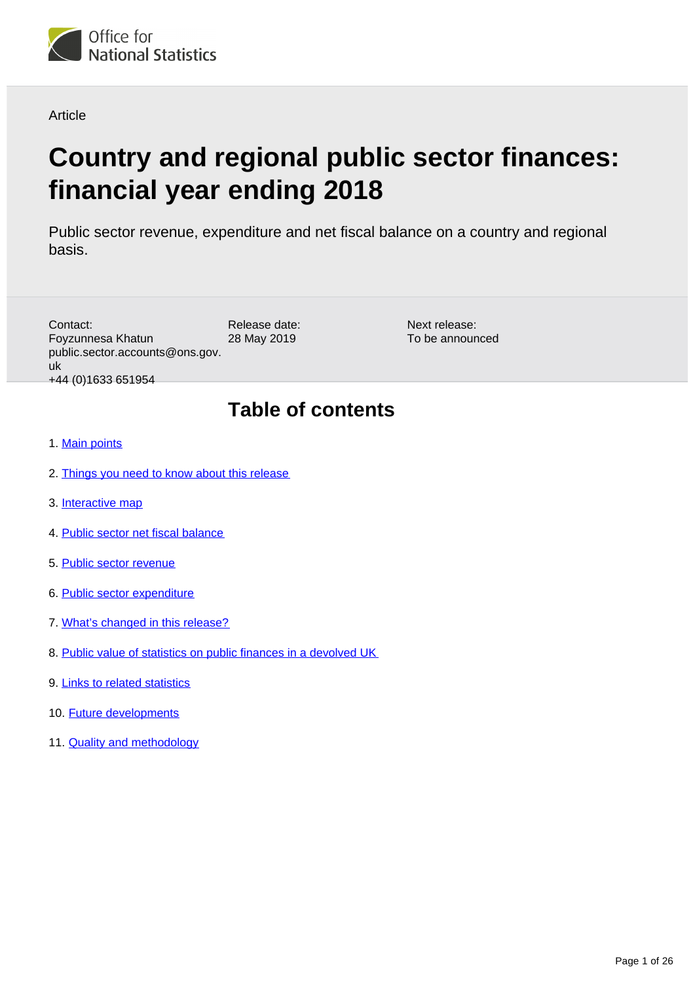<span id="page-0-0"></span>

Article

# **Country and regional public sector finances: financial year ending 2018**

Public sector revenue, expenditure and net fiscal balance on a country and regional basis.

| Contact:<br>Foyzunnesa Khatun<br>public.sector.accounts@ons.gov.<br>uk<br>+44 (0) 1633 651954 | Release date:<br>28 May 2019 | Next release:<br>To be announced |
|-----------------------------------------------------------------------------------------------|------------------------------|----------------------------------|
|                                                                                               | <b>Table of contents</b>     |                                  |
| 1. Main points                                                                                |                              |                                  |
| 2. Things you need to know about this release                                                 |                              |                                  |
| 3. Interactive map                                                                            |                              |                                  |
| 4. Public sector net fiscal balance                                                           |                              |                                  |
| 5. Public sector revenue                                                                      |                              |                                  |
| 6. Public sector expenditure                                                                  |                              |                                  |
| 7. What's changed in this release?                                                            |                              |                                  |

- 8. [Public value of statistics on public finances in a devolved UK](#page-20-0)
- 9. [Links to related statistics](#page-20-1)
- 10. [Future developments](#page-21-0)
- 11. [Quality and methodology](#page-21-1)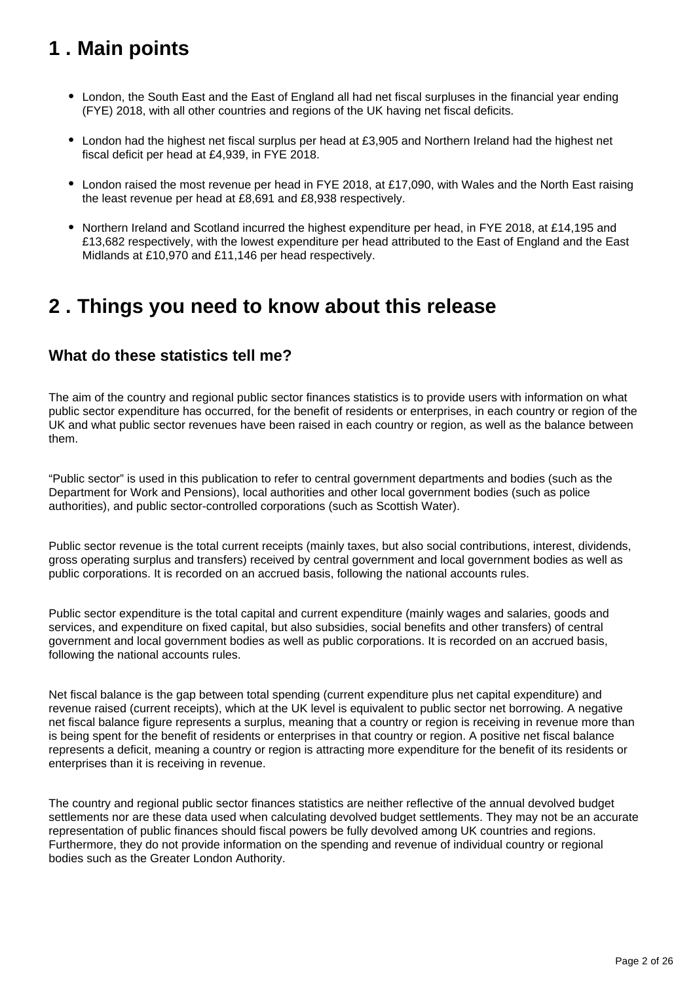## <span id="page-1-0"></span>**1 . Main points**

- London, the South East and the East of England all had net fiscal surpluses in the financial year ending (FYE) 2018, with all other countries and regions of the UK having net fiscal deficits.
- London had the highest net fiscal surplus per head at £3,905 and Northern Ireland had the highest net fiscal deficit per head at £4,939, in FYE 2018.
- London raised the most revenue per head in FYE 2018, at £17,090, with Wales and the North East raising the least revenue per head at £8,691 and £8,938 respectively.
- Northern Ireland and Scotland incurred the highest expenditure per head, in FYE 2018, at £14,195 and £13,682 respectively, with the lowest expenditure per head attributed to the East of England and the East Midlands at £10,970 and £11,146 per head respectively.

## <span id="page-1-1"></span>**2 . Things you need to know about this release**

### **What do these statistics tell me?**

The aim of the country and regional public sector finances statistics is to provide users with information on what public sector expenditure has occurred, for the benefit of residents or enterprises, in each country or region of the UK and what public sector revenues have been raised in each country or region, as well as the balance between them.

"Public sector" is used in this publication to refer to central government departments and bodies (such as the Department for Work and Pensions), local authorities and other local government bodies (such as police authorities), and public sector-controlled corporations (such as Scottish Water).

Public sector revenue is the total current receipts (mainly taxes, but also social contributions, interest, dividends, gross operating surplus and transfers) received by central government and local government bodies as well as public corporations. It is recorded on an accrued basis, following the national accounts rules.

Public sector expenditure is the total capital and current expenditure (mainly wages and salaries, goods and services, and expenditure on fixed capital, but also subsidies, social benefits and other transfers) of central government and local government bodies as well as public corporations. It is recorded on an accrued basis, following the national accounts rules.

Net fiscal balance is the gap between total spending (current expenditure plus net capital expenditure) and revenue raised (current receipts), which at the UK level is equivalent to public sector net borrowing. A negative net fiscal balance figure represents a surplus, meaning that a country or region is receiving in revenue more than is being spent for the benefit of residents or enterprises in that country or region. A positive net fiscal balance represents a deficit, meaning a country or region is attracting more expenditure for the benefit of its residents or enterprises than it is receiving in revenue.

The country and regional public sector finances statistics are neither reflective of the annual devolved budget settlements nor are these data used when calculating devolved budget settlements. They may not be an accurate representation of public finances should fiscal powers be fully devolved among UK countries and regions. Furthermore, they do not provide information on the spending and revenue of individual country or regional bodies such as the Greater London Authority.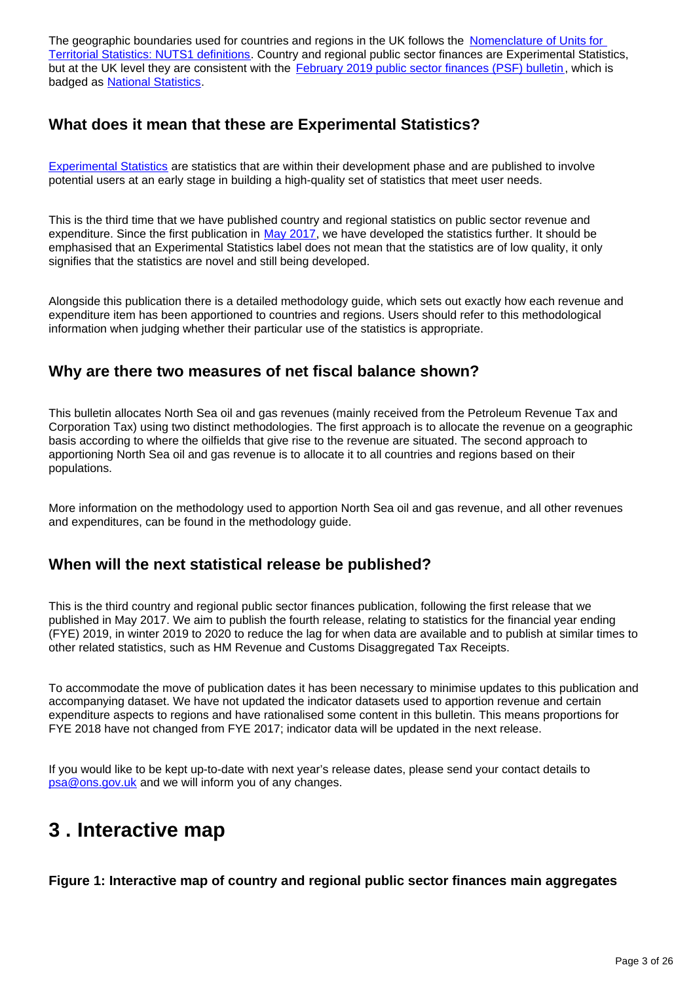The geographic boundaries used for countries and regions in the UK follows the Nomenclature of Units for [Territorial Statistics: NUTS1 definitions.](http://ec.europa.eu/eurostat/web/nuts/background) Country and regional public sector finances are Experimental Statistics, but at the UK level they are consistent with the [February 2019 public sector finances \(PSF\) bulletin](https://www.ons.gov.uk/economy/governmentpublicsectorandtaxes/publicsectorfinance/bulletins/publicsectorfinances/february2019), which is badged as [National Statistics](https://www.statisticsauthority.gov.uk/about-the-authority/uk-statistical-system/types-of-official-statistics/).

## **What does it mean that these are Experimental Statistics?**

[Experimental Statistics](https://gss.civilservice.gov.uk/policy-store/guidance-on-experimental-statistics/) are statistics that are within their development phase and are published to involve potential users at an early stage in building a high-quality set of statistics that meet user needs.

This is the third time that we have published country and regional statistics on public sector revenue and expenditure. Since the first publication in [May 2017,](https://www.ons.gov.uk/economy/governmentpublicsectorandtaxes/publicsectorfinance/articles/countryandregionalpublicsectorfinances/2015to2016) we have developed the statistics further. It should be emphasised that an Experimental Statistics label does not mean that the statistics are of low quality, it only signifies that the statistics are novel and still being developed.

Alongside this publication there is a detailed methodology guide, which sets out exactly how each revenue and expenditure item has been apportioned to countries and regions. Users should refer to this methodological information when judging whether their particular use of the statistics is appropriate.

## **Why are there two measures of net fiscal balance shown?**

This bulletin allocates North Sea oil and gas revenues (mainly received from the Petroleum Revenue Tax and Corporation Tax) using two distinct methodologies. The first approach is to allocate the revenue on a geographic basis according to where the oilfields that give rise to the revenue are situated. The second approach to apportioning North Sea oil and gas revenue is to allocate it to all countries and regions based on their populations.

More information on the methodology used to apportion North Sea oil and gas revenue, and all other revenues and expenditures, can be found in the methodology guide.

## **When will the next statistical release be published?**

This is the third country and regional public sector finances publication, following the first release that we published in May 2017. We aim to publish the fourth release, relating to statistics for the financial year ending (FYE) 2019, in winter 2019 to 2020 to reduce the lag for when data are available and to publish at similar times to other related statistics, such as HM Revenue and Customs Disaggregated Tax Receipts.

To accommodate the move of publication dates it has been necessary to minimise updates to this publication and accompanying dataset. We have not updated the indicator datasets used to apportion revenue and certain expenditure aspects to regions and have rationalised some content in this bulletin. This means proportions for FYE 2018 have not changed from FYE 2017; indicator data will be updated in the next release.

If you would like to be kept up-to-date with next year's release dates, please send your contact details to psa@ons.gov.uk and we will inform you of any changes.

## <span id="page-2-0"></span>**3 . Interactive map**

**Figure 1: Interactive map of country and regional public sector finances main aggregates**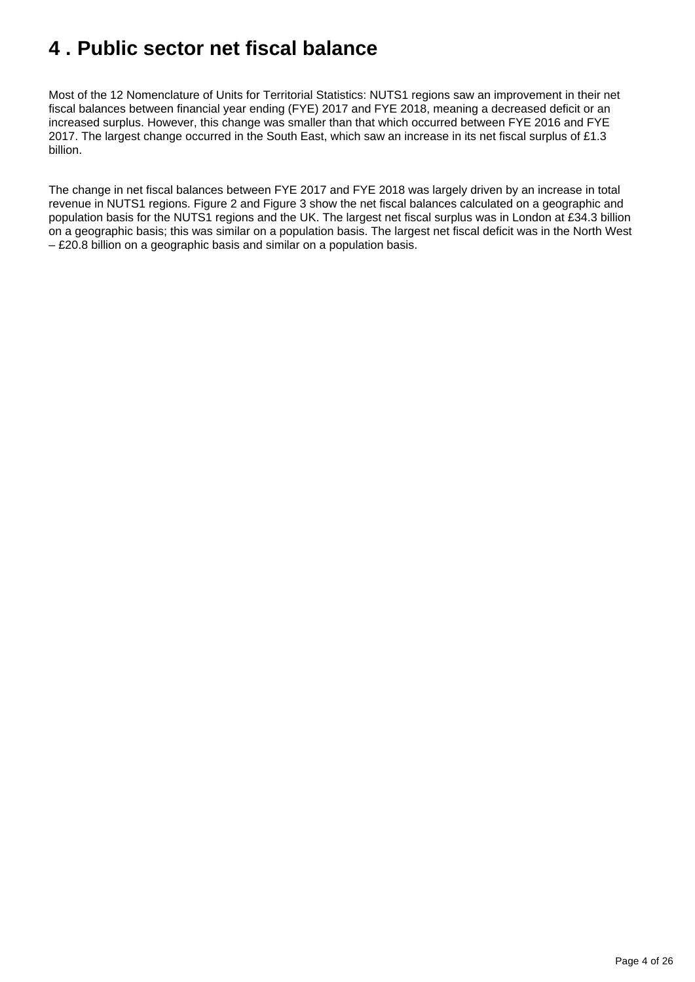## <span id="page-3-0"></span>**4 . Public sector net fiscal balance**

Most of the 12 Nomenclature of Units for Territorial Statistics: NUTS1 regions saw an improvement in their net fiscal balances between financial year ending (FYE) 2017 and FYE 2018, meaning a decreased deficit or an increased surplus. However, this change was smaller than that which occurred between FYE 2016 and FYE 2017. The largest change occurred in the South East, which saw an increase in its net fiscal surplus of £1.3 billion.

The change in net fiscal balances between FYE 2017 and FYE 2018 was largely driven by an increase in total revenue in NUTS1 regions. Figure 2 and Figure 3 show the net fiscal balances calculated on a geographic and population basis for the NUTS1 regions and the UK. The largest net fiscal surplus was in London at £34.3 billion on a geographic basis; this was similar on a population basis. The largest net fiscal deficit was in the North West – £20.8 billion on a geographic basis and similar on a population basis.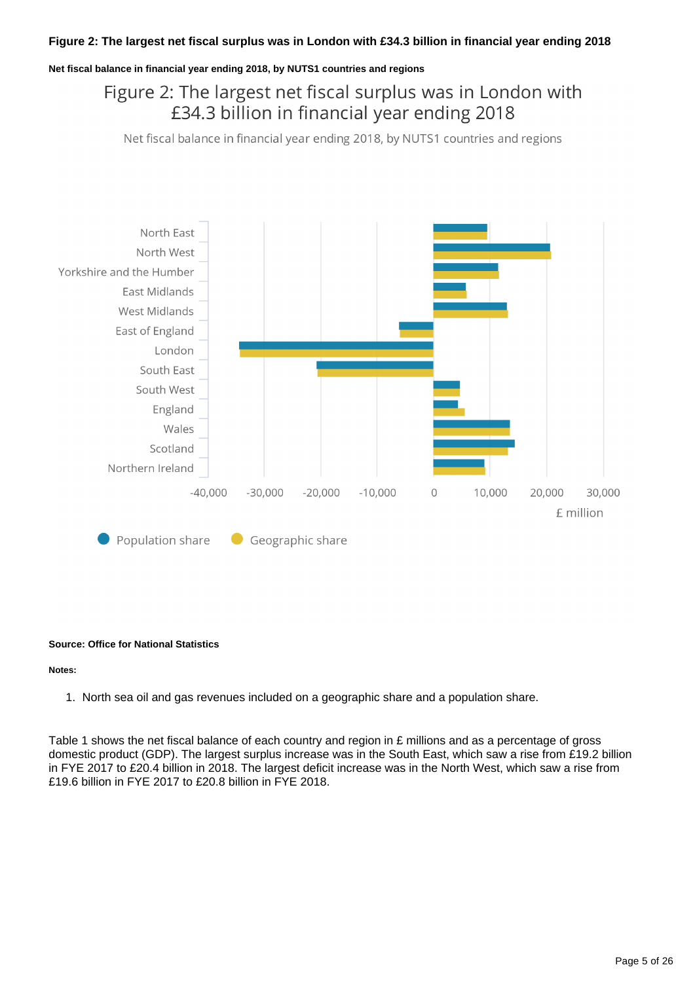#### **Net fiscal balance in financial year ending 2018, by NUTS1 countries and regions**

## Figure 2: The largest net fiscal surplus was in London with £34.3 billion in financial year ending 2018

Net fiscal balance in financial year ending 2018, by NUTS1 countries and regions



#### **Source: Office for National Statistics**

#### **Notes:**

1. North sea oil and gas revenues included on a geographic share and a population share.

Table 1 shows the net fiscal balance of each country and region in £ millions and as a percentage of gross domestic product (GDP). The largest surplus increase was in the South East, which saw a rise from £19.2 billion in FYE 2017 to £20.4 billion in 2018. The largest deficit increase was in the North West, which saw a rise from £19.6 billion in FYE 2017 to £20.8 billion in FYE 2018.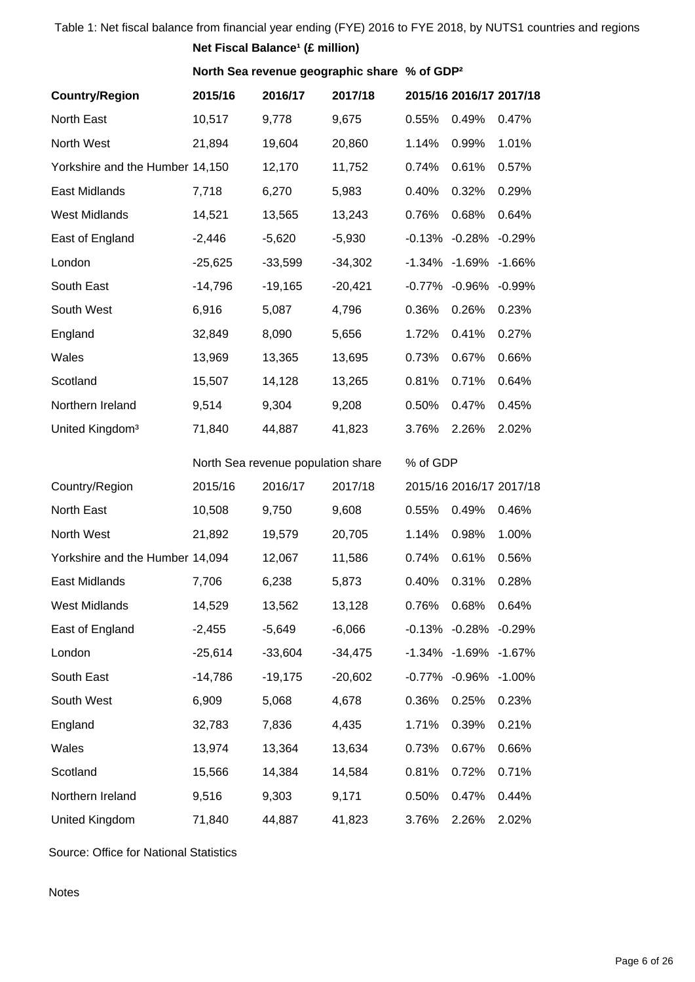| Table 1: Net fiscal balance from financial year ending (FYE) 2016 to FYE 2018, by NUTS1 countries and regions<br>Net Fiscal Balance <sup>1</sup> (£ million) |           |                                                          |           |          |                           |                         |  |  |  |  |
|--------------------------------------------------------------------------------------------------------------------------------------------------------------|-----------|----------------------------------------------------------|-----------|----------|---------------------------|-------------------------|--|--|--|--|
|                                                                                                                                                              |           | North Sea revenue geographic share % of GDP <sup>2</sup> |           |          |                           |                         |  |  |  |  |
| <b>Country/Region</b>                                                                                                                                        | 2015/16   | 2016/17                                                  | 2017/18   |          |                           | 2015/16 2016/17 2017/18 |  |  |  |  |
| North East                                                                                                                                                   | 10,517    | 9,778                                                    | 9,675     | 0.55%    | 0.49%                     | 0.47%                   |  |  |  |  |
| North West                                                                                                                                                   | 21,894    | 19,604                                                   | 20,860    | 1.14%    | 0.99%                     | 1.01%                   |  |  |  |  |
| Yorkshire and the Humber 14,150                                                                                                                              |           | 12,170                                                   | 11,752    | 0.74%    | 0.61%                     | 0.57%                   |  |  |  |  |
| East Midlands                                                                                                                                                | 7,718     | 6,270                                                    | 5,983     | 0.40%    | 0.32%                     | 0.29%                   |  |  |  |  |
| <b>West Midlands</b>                                                                                                                                         | 14,521    | 13,565                                                   | 13,243    | 0.76%    | 0.68%                     | 0.64%                   |  |  |  |  |
| East of England                                                                                                                                              | $-2,446$  | $-5,620$                                                 | $-5,930$  |          | $-0.13\% -0.28\% -0.29\%$ |                         |  |  |  |  |
| London                                                                                                                                                       | $-25,625$ | $-33,599$                                                | $-34,302$ |          | -1.34% -1.69% -1.66%      |                         |  |  |  |  |
| South East                                                                                                                                                   | $-14,796$ | $-19,165$                                                | $-20,421$ |          | -0.77% -0.96% -0.99%      |                         |  |  |  |  |
| South West                                                                                                                                                   | 6,916     | 5,087                                                    | 4,796     | 0.36%    | 0.26%                     | 0.23%                   |  |  |  |  |
| England                                                                                                                                                      | 32,849    | 8,090                                                    | 5,656     | 1.72%    | 0.41%                     | 0.27%                   |  |  |  |  |
| Wales                                                                                                                                                        | 13,969    | 13,365                                                   | 13,695    | 0.73%    | 0.67%                     | 0.66%                   |  |  |  |  |
| Scotland                                                                                                                                                     | 15,507    | 14,128                                                   | 13,265    | 0.81%    | 0.71%                     | 0.64%                   |  |  |  |  |
| Northern Ireland                                                                                                                                             | 9,514     | 9,304                                                    | 9,208     | 0.50%    | 0.47%                     | 0.45%                   |  |  |  |  |
| United Kingdom <sup>3</sup>                                                                                                                                  | 71,840    | 44,887                                                   | 41,823    | 3.76%    | 2.26%                     | 2.02%                   |  |  |  |  |
|                                                                                                                                                              |           | North Sea revenue population share                       |           | % of GDP |                           |                         |  |  |  |  |
| Country/Region                                                                                                                                               | 2015/16   | 2016/17                                                  | 2017/18   |          |                           | 2015/16 2016/17 2017/18 |  |  |  |  |
| North East                                                                                                                                                   | 10,508    | 9,750                                                    | 9,608     | 0.55%    | 0.49%                     | 0.46%                   |  |  |  |  |
| North West                                                                                                                                                   | 21,892    | 19,579                                                   | 20,705    | 1.14%    | 0.98%                     | 1.00%                   |  |  |  |  |
| Yorkshire and the Humber 14,094                                                                                                                              |           | 12,067                                                   | 11,586    | 0.74%    | 0.61%                     | 0.56%                   |  |  |  |  |
| East Midlands                                                                                                                                                | 7,706     | 6,238                                                    | 5,873     | 0.40%    | 0.31%                     | 0.28%                   |  |  |  |  |
| West Midlands                                                                                                                                                | 14,529    | 13,562                                                   | 13,128    | 0.76%    | 0.68%                     | 0.64%                   |  |  |  |  |
| East of England                                                                                                                                              | $-2,455$  | $-5,649$                                                 | $-6,066$  |          | $-0.13\% -0.28\% -0.29\%$ |                         |  |  |  |  |
| London                                                                                                                                                       | $-25,614$ | $-33,604$                                                | $-34,475$ |          | -1.34% -1.69% -1.67%      |                         |  |  |  |  |
| South East                                                                                                                                                   | $-14,786$ | $-19,175$                                                | $-20,602$ | -0.77%   | $-0.96\% -1.00\%$         |                         |  |  |  |  |
| South West                                                                                                                                                   | 6,909     | 5,068                                                    | 4,678     | 0.36%    | 0.25%                     | 0.23%                   |  |  |  |  |
| England                                                                                                                                                      | 32,783    | 7,836                                                    | 4,435     | 1.71%    | 0.39%                     | 0.21%                   |  |  |  |  |
| Wales                                                                                                                                                        | 13,974    | 13,364                                                   | 13,634    | 0.73%    | 0.67%                     | 0.66%                   |  |  |  |  |
| Scotland                                                                                                                                                     | 15,566    | 14,384                                                   | 14,584    | 0.81%    | 0.72%                     | 0.71%                   |  |  |  |  |
| Northern Ireland                                                                                                                                             | 9,516     | 9,303                                                    | 9,171     | 0.50%    | 0.47%                     | 0.44%                   |  |  |  |  |
| United Kingdom                                                                                                                                               | 71,840    | 44,887                                                   | 41,823    | 3.76%    | 2.26%                     | 2.02%                   |  |  |  |  |

Source: Office for National Statistics

Notes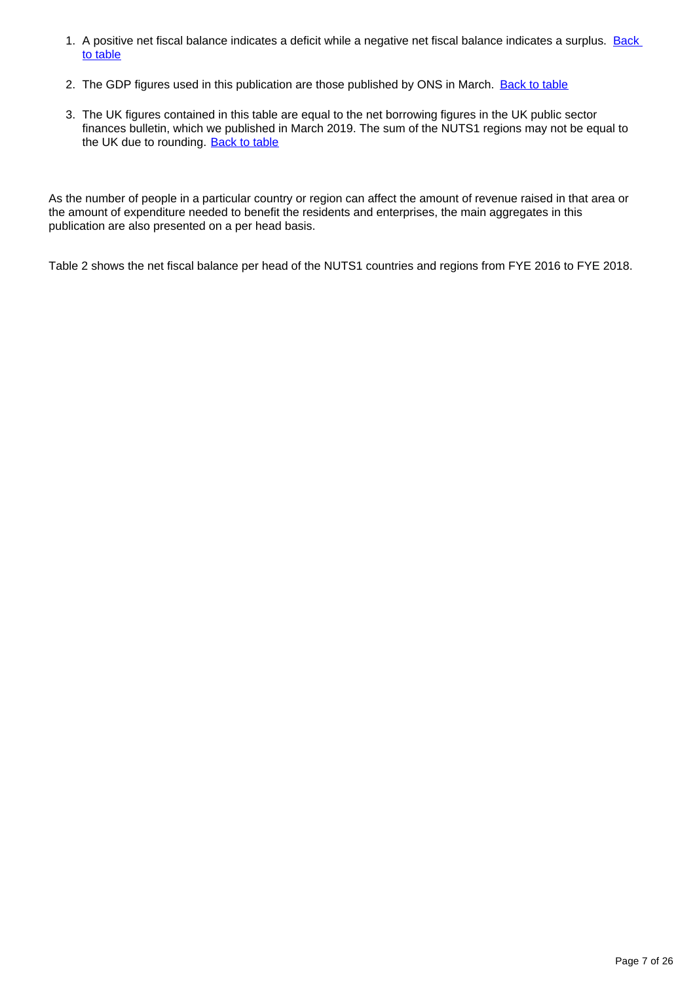- 1. A positive net fiscal balance indicates a deficit while a negative net fiscal balance indicates a surplus. Back [to table](#page-0-0)
- 2. The GDP figures used in this publication are those published by ONS in March. [Back to table](#page-0-0)
- 3. The UK figures contained in this table are equal to the net borrowing figures in the UK public sector finances bulletin, which we published in March 2019. The sum of the NUTS1 regions may not be equal to the UK due to rounding. [Back to table](#page-0-0)

As the number of people in a particular country or region can affect the amount of revenue raised in that area or the amount of expenditure needed to benefit the residents and enterprises, the main aggregates in this publication are also presented on a per head basis.

Table 2 shows the net fiscal balance per head of the NUTS1 countries and regions from FYE 2016 to FYE 2018.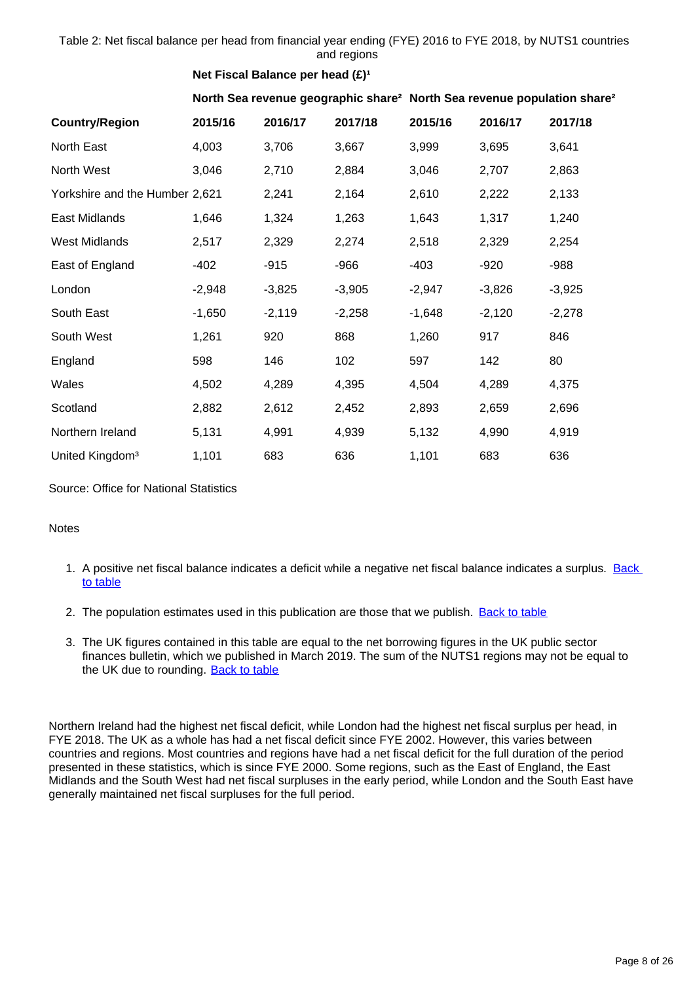Table 2: Net fiscal balance per head from financial year ending (FYE) 2016 to FYE 2018, by NUTS1 countries and regions

## **Net Fiscal Balance per head (£)<sup>1</sup>**

**North Sea revenue geographic share² North Sea revenue population share²**

| <b>Country/Region</b>          | 2015/16  | 2016/17  | 2017/18  | 2015/16  | 2016/17  | 2017/18  |
|--------------------------------|----------|----------|----------|----------|----------|----------|
| North East                     | 4,003    | 3,706    | 3,667    | 3,999    | 3,695    | 3,641    |
| North West                     | 3,046    | 2,710    | 2,884    | 3,046    | 2,707    | 2,863    |
| Yorkshire and the Humber 2,621 |          | 2,241    | 2,164    | 2,610    | 2,222    | 2,133    |
| East Midlands                  | 1,646    | 1,324    | 1,263    | 1,643    | 1,317    | 1,240    |
| <b>West Midlands</b>           | 2,517    | 2,329    | 2,274    | 2,518    | 2,329    | 2,254    |
| East of England                | $-402$   | $-915$   | $-966$   | $-403$   | $-920$   | -988     |
| London                         | $-2,948$ | $-3,825$ | $-3,905$ | $-2,947$ | $-3,826$ | $-3,925$ |
| South East                     | $-1,650$ | $-2,119$ | $-2,258$ | $-1,648$ | $-2,120$ | $-2,278$ |
| South West                     | 1,261    | 920      | 868      | 1,260    | 917      | 846      |
| England                        | 598      | 146      | 102      | 597      | 142      | 80       |
| Wales                          | 4,502    | 4,289    | 4,395    | 4,504    | 4,289    | 4,375    |
| Scotland                       | 2,882    | 2,612    | 2,452    | 2,893    | 2,659    | 2,696    |
| Northern Ireland               | 5,131    | 4,991    | 4,939    | 5,132    | 4,990    | 4,919    |
| United Kingdom <sup>3</sup>    | 1,101    | 683      | 636      | 1,101    | 683      | 636      |

Source: Office for National Statistics

#### Notes

- 1. A positive net fiscal balance indicates a deficit while a negative net fiscal balance indicates a surplus. Back [to table](#page-0-0)
- 2. The population estimates used in this publication are those that we publish. **[Back to table](#page-0-0)**
- 3. The UK figures contained in this table are equal to the net borrowing figures in the UK public sector finances bulletin, which we published in March 2019. The sum of the NUTS1 regions may not be equal to the UK due to rounding. [Back to table](#page-0-0)

Northern Ireland had the highest net fiscal deficit, while London had the highest net fiscal surplus per head, in FYE 2018. The UK as a whole has had a net fiscal deficit since FYE 2002. However, this varies between countries and regions. Most countries and regions have had a net fiscal deficit for the full duration of the period presented in these statistics, which is since FYE 2000. Some regions, such as the East of England, the East Midlands and the South West had net fiscal surpluses in the early period, while London and the South East have generally maintained net fiscal surpluses for the full period.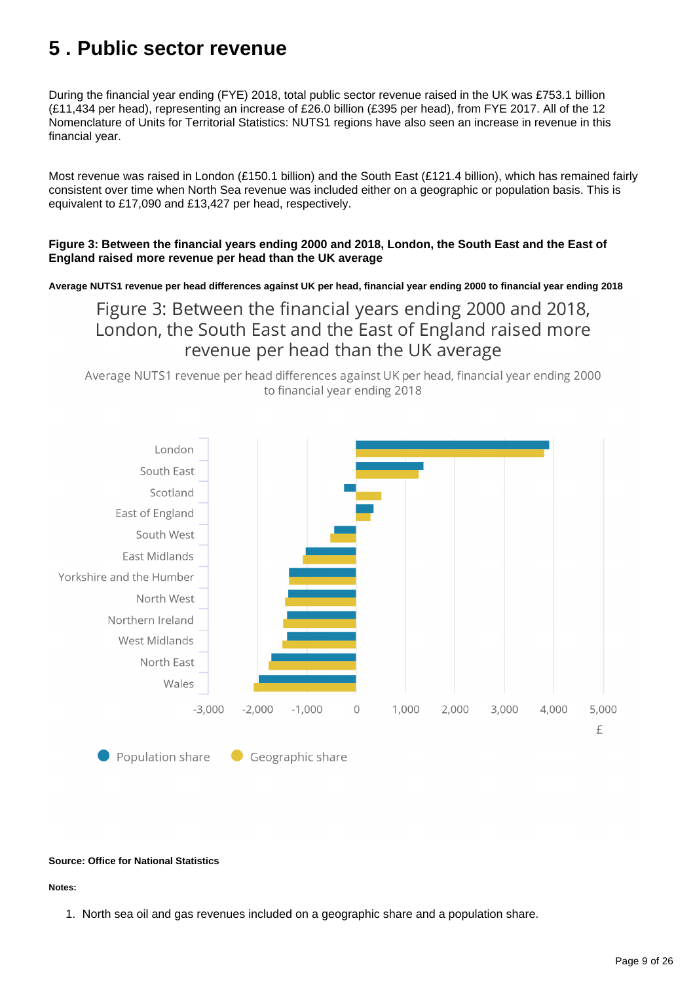## <span id="page-8-0"></span>**5 . Public sector revenue**

During the financial year ending (FYE) 2018, total public sector revenue raised in the UK was £753.1 billion (£11,434 per head), representing an increase of £26.0 billion (£395 per head), from FYE 2017. All of the 12 Nomenclature of Units for Territorial Statistics: NUTS1 regions have also seen an increase in revenue in this financial year.

Most revenue was raised in London (£150.1 billion) and the South East (£121.4 billion), which has remained fairly consistent over time when North Sea revenue was included either on a geographic or population basis. This is equivalent to £17,090 and £13,427 per head, respectively.

#### **Figure 3: Between the financial years ending 2000 and 2018, London, the South East and the East of England raised more revenue per head than the UK average**

**Average NUTS1 revenue per head differences against UK per head, financial year ending 2000 to financial year ending 2018**

Figure 3: Between the financial years ending 2000 and 2018, London, the South East and the East of England raised more revenue per head than the UK average

Average NUTS1 revenue per head differences against UK per head, financial year ending 2000 to financial year ending 2018



#### **Source: Office for National Statistics**

#### **Notes:**

1. North sea oil and gas revenues included on a geographic share and a population share.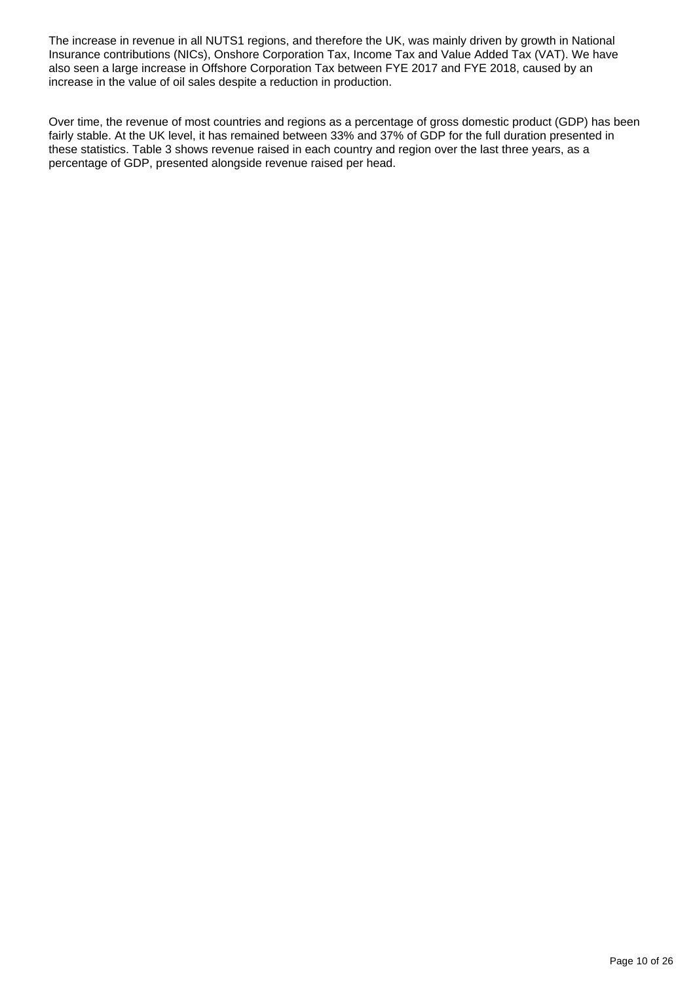The increase in revenue in all NUTS1 regions, and therefore the UK, was mainly driven by growth in National Insurance contributions (NICs), Onshore Corporation Tax, Income Tax and Value Added Tax (VAT). We have also seen a large increase in Offshore Corporation Tax between FYE 2017 and FYE 2018, caused by an increase in the value of oil sales despite a reduction in production.

Over time, the revenue of most countries and regions as a percentage of gross domestic product (GDP) has been fairly stable. At the UK level, it has remained between 33% and 37% of GDP for the full duration presented in these statistics. Table 3 shows revenue raised in each country and region over the last three years, as a percentage of GDP, presented alongside revenue raised per head.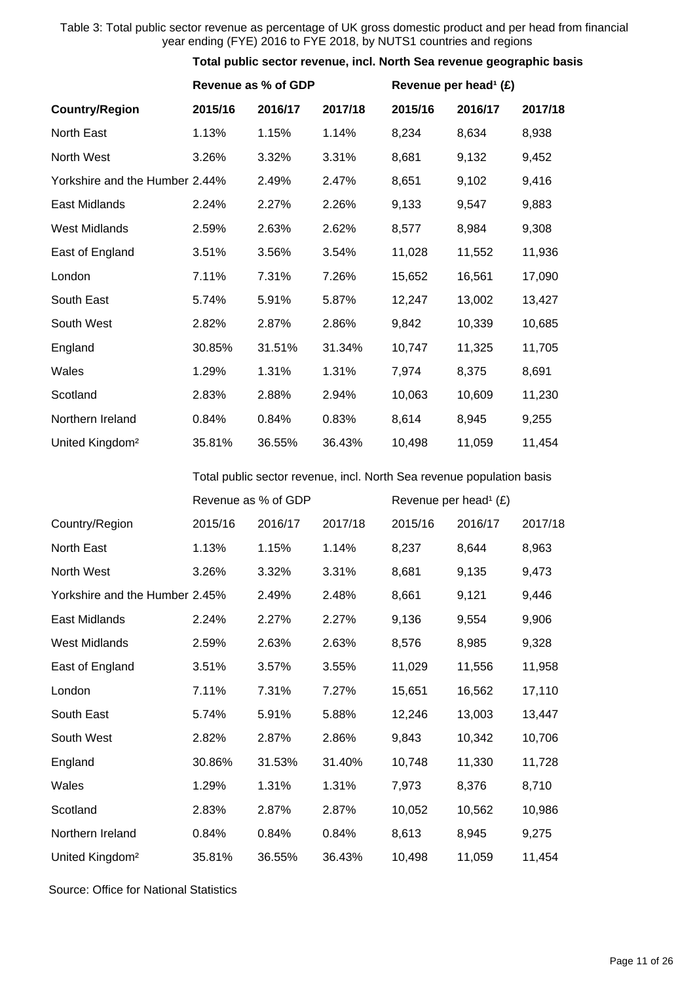#### Table 3: Total public sector revenue as percentage of UK gross domestic product and per head from financial year ending (FYE) 2016 to FYE 2018, by NUTS1 countries and regions

#### **Total public sector revenue, incl. North Sea revenue geographic basis**

|                                | Revenue as % of GDP                                                   |         |         | Revenue per head <sup>1</sup> (£) |         |         |  |  |  |
|--------------------------------|-----------------------------------------------------------------------|---------|---------|-----------------------------------|---------|---------|--|--|--|
| <b>Country/Region</b>          | 2015/16                                                               | 2016/17 | 2017/18 | 2015/16                           | 2016/17 | 2017/18 |  |  |  |
| North East                     | 1.13%                                                                 | 1.15%   | 1.14%   | 8,234                             | 8,634   | 8,938   |  |  |  |
| North West                     | 3.26%                                                                 | 3.32%   | 3.31%   | 8,681                             | 9,132   | 9,452   |  |  |  |
| Yorkshire and the Humber 2.44% |                                                                       | 2.49%   | 2.47%   | 8,651                             | 9,102   | 9,416   |  |  |  |
| East Midlands                  | 2.24%                                                                 | 2.27%   | 2.26%   | 9,133                             | 9,547   | 9,883   |  |  |  |
| <b>West Midlands</b>           | 2.59%                                                                 | 2.63%   | 2.62%   | 8,577                             | 8,984   | 9,308   |  |  |  |
| East of England                | 3.51%                                                                 | 3.56%   | 3.54%   | 11,028                            | 11,552  | 11,936  |  |  |  |
| London                         | 7.11%                                                                 | 7.31%   | 7.26%   | 15,652                            | 16,561  | 17,090  |  |  |  |
| South East                     | 5.74%                                                                 | 5.91%   | 5.87%   | 12,247                            | 13,002  | 13,427  |  |  |  |
| South West                     | 2.82%                                                                 | 2.87%   | 2.86%   | 9,842                             | 10,339  | 10,685  |  |  |  |
| England                        | 30.85%                                                                | 31.51%  | 31.34%  | 10,747                            | 11,325  | 11,705  |  |  |  |
| Wales                          | 1.29%                                                                 | 1.31%   | 1.31%   | 7,974                             | 8,375   | 8,691   |  |  |  |
| Scotland                       | 2.83%                                                                 | 2.88%   | 2.94%   | 10,063                            | 10,609  | 11,230  |  |  |  |
| Northern Ireland               | 0.84%                                                                 | 0.84%   | 0.83%   | 8,614                             | 8,945   | 9,255   |  |  |  |
| United Kingdom <sup>2</sup>    | 35.81%                                                                | 36.55%  | 36.43%  | 10,498                            | 11,059  | 11,454  |  |  |  |
|                                | Total public sector revenue, incl. North Sea revenue population basis |         |         |                                   |         |         |  |  |  |
|                                | Revenue as % of GDP                                                   |         |         | Revenue per head <sup>1</sup> (£) |         |         |  |  |  |
| Country/Region                 | 2015/16                                                               | 2016/17 | 2017/18 | 2015/16                           | 2016/17 | 2017/18 |  |  |  |
| North East                     | 1.13%                                                                 | 1.15%   | 1.14%   | 8,237                             | 8,644   | 8,963   |  |  |  |
| North West                     | 3.26%                                                                 | 3.32%   | 3.31%   | 8,681                             | 9,135   | 9,473   |  |  |  |
| Yorkshire and the Humber 2.45% |                                                                       | 2.49%   | 2.48%   | 8,661                             | 9,121   | 9,446   |  |  |  |
| East Midlands                  | 2.24%                                                                 | 2.27%   | 2.27%   | 9,136                             | 9,554   | 9,906   |  |  |  |
| <b>West Midlands</b>           | 2.59%                                                                 | 2.63%   | 2.63%   | 8,576                             | 8,985   | 9,328   |  |  |  |
| East of England                | 3.51%                                                                 | 3.57%   | 3.55%   | 11,029                            | 11,556  | 11,958  |  |  |  |
| London                         | 7.11%                                                                 | 7.31%   | 7.27%   | 15,651                            | 16,562  | 17,110  |  |  |  |
| South East                     | 5.74%                                                                 | 5.91%   | 5.88%   | 12,246                            | 13,003  | 13,447  |  |  |  |
| South West                     | 2.82%                                                                 | 2.87%   | 2.86%   | 9,843                             | 10,342  | 10,706  |  |  |  |
| England                        | 30.86%                                                                | 31.53%  | 31.40%  | 10,748                            | 11,330  | 11,728  |  |  |  |
| Wales                          | 1.29%                                                                 | 1.31%   | 1.31%   | 7,973                             | 8,376   | 8,710   |  |  |  |
| Scotland                       | 2.83%                                                                 | 2.87%   | 2.87%   | 10,052                            | 10,562  | 10,986  |  |  |  |

Northern Ireland 0.84% 0.84% 0.84% 8,613 8,945 9,275

United Kingdom² 35.81% 36.55% 36.43% 10,498 11,059 11,454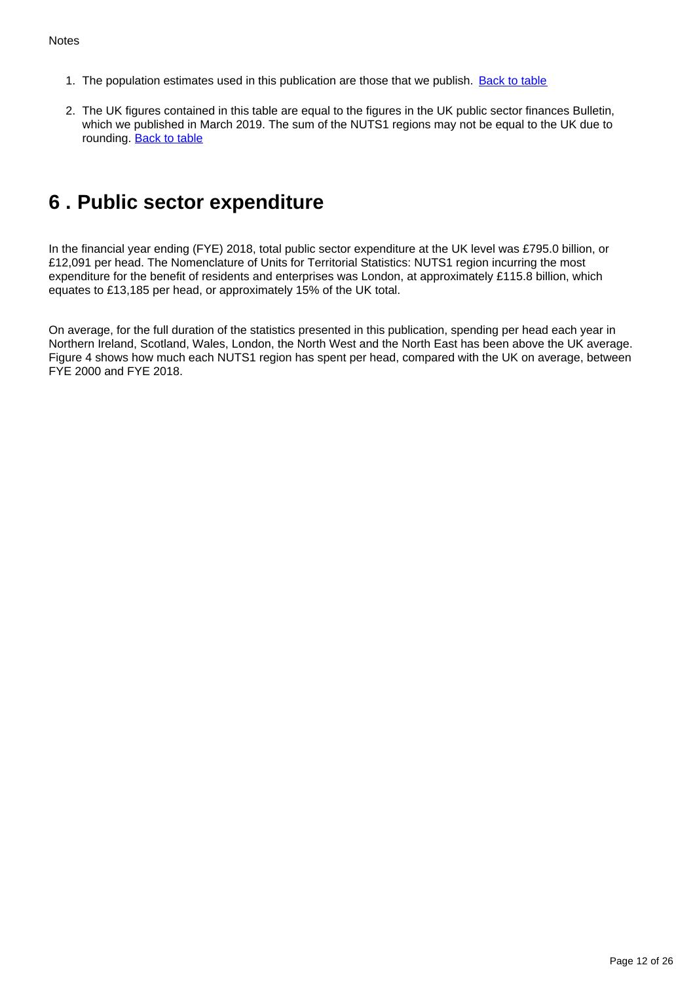- 1. The population estimates used in this publication are those that we publish. **[Back to table](#page-0-0)**
- 2. The UK figures contained in this table are equal to the figures in the UK public sector finances Bulletin, which we published in March 2019. The sum of the NUTS1 regions may not be equal to the UK due to rounding. **Back to table**

## <span id="page-11-0"></span>**6 . Public sector expenditure**

In the financial year ending (FYE) 2018, total public sector expenditure at the UK level was £795.0 billion, or £12,091 per head. The Nomenclature of Units for Territorial Statistics: NUTS1 region incurring the most expenditure for the benefit of residents and enterprises was London, at approximately £115.8 billion, which equates to £13,185 per head, or approximately 15% of the UK total.

On average, for the full duration of the statistics presented in this publication, spending per head each year in Northern Ireland, Scotland, Wales, London, the North West and the North East has been above the UK average. Figure 4 shows how much each NUTS1 region has spent per head, compared with the UK on average, between FYE 2000 and FYE 2018.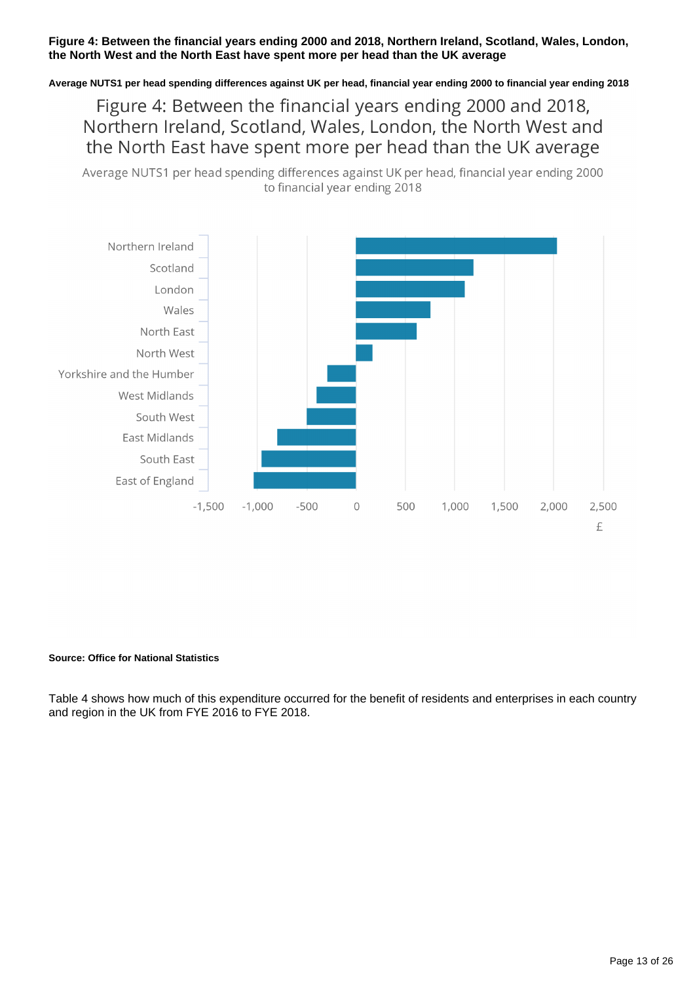#### **Figure 4: Between the financial years ending 2000 and 2018, Northern Ireland, Scotland, Wales, London, the North West and the North East have spent more per head than the UK average**

**Average NUTS1 per head spending differences against UK per head, financial year ending 2000 to financial year ending 2018**

Figure 4: Between the financial years ending 2000 and 2018, Northern Ireland, Scotland, Wales, London, the North West and the North East have spent more per head than the UK average

Average NUTS1 per head spending differences against UK per head, financial year ending 2000 to financial year ending 2018



#### **Source: Office for National Statistics**

Table 4 shows how much of this expenditure occurred for the benefit of residents and enterprises in each country and region in the UK from FYE 2016 to FYE 2018.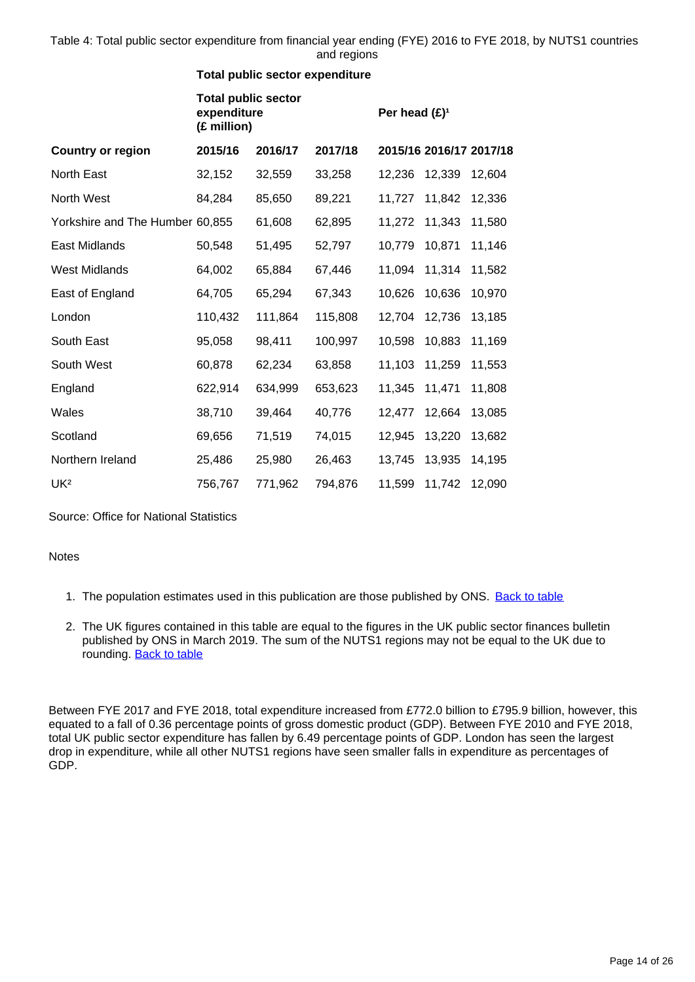Table 4: Total public sector expenditure from financial year ending (FYE) 2016 to FYE 2018, by NUTS1 countries and regions

#### **Total public sector expenditure**

|                                 | <b>Total public sector</b><br>expenditure<br>(£ million) |         |         | Per head $(E)^1$ |        |                         |
|---------------------------------|----------------------------------------------------------|---------|---------|------------------|--------|-------------------------|
| <b>Country or region</b>        | 2015/16                                                  | 2016/17 | 2017/18 |                  |        | 2015/16 2016/17 2017/18 |
| North East                      | 32,152                                                   | 32,559  | 33,258  | 12,236           | 12,339 | 12,604                  |
| North West                      | 84,284                                                   | 85,650  | 89,221  | 11,727           | 11,842 | 12,336                  |
| Yorkshire and The Humber 60,855 |                                                          | 61,608  | 62,895  | 11,272           | 11,343 | 11,580                  |
| East Midlands                   | 50,548                                                   | 51,495  | 52,797  | 10,779           | 10,871 | 11,146                  |
| <b>West Midlands</b>            | 64,002                                                   | 65,884  | 67,446  | 11,094           | 11,314 | 11,582                  |
| East of England                 | 64,705                                                   | 65,294  | 67,343  | 10,626           | 10,636 | 10,970                  |
| London                          | 110,432                                                  | 111,864 | 115,808 | 12,704           | 12,736 | 13,185                  |
| South East                      | 95,058                                                   | 98,411  | 100,997 | 10,598           | 10,883 | 11,169                  |
| South West                      | 60,878                                                   | 62,234  | 63,858  | 11,103           | 11,259 | 11,553                  |
| England                         | 622,914                                                  | 634,999 | 653,623 | 11,345           | 11,471 | 11,808                  |
| Wales                           | 38,710                                                   | 39,464  | 40,776  | 12,477           | 12,664 | 13,085                  |
| Scotland                        | 69,656                                                   | 71,519  | 74,015  | 12,945           | 13,220 | 13,682                  |
| Northern Ireland                | 25,486                                                   | 25,980  | 26,463  | 13,745           | 13,935 | 14,195                  |
| UK <sup>2</sup>                 | 756,767                                                  | 771,962 | 794,876 | 11,599           | 11,742 | 12,090                  |

Source: Office for National Statistics

**Notes** 

- 1. The population estimates used in this publication are those published by ONS. [Back to table](#page-0-0)
- 2. The UK figures contained in this table are equal to the figures in the UK public sector finances bulletin published by ONS in March 2019. The sum of the NUTS1 regions may not be equal to the UK due to rounding. **Back to table**

Between FYE 2017 and FYE 2018, total expenditure increased from £772.0 billion to £795.9 billion, however, this equated to a fall of 0.36 percentage points of gross domestic product (GDP). Between FYE 2010 and FYE 2018, total UK public sector expenditure has fallen by 6.49 percentage points of GDP. London has seen the largest drop in expenditure, while all other NUTS1 regions have seen smaller falls in expenditure as percentages of GDP.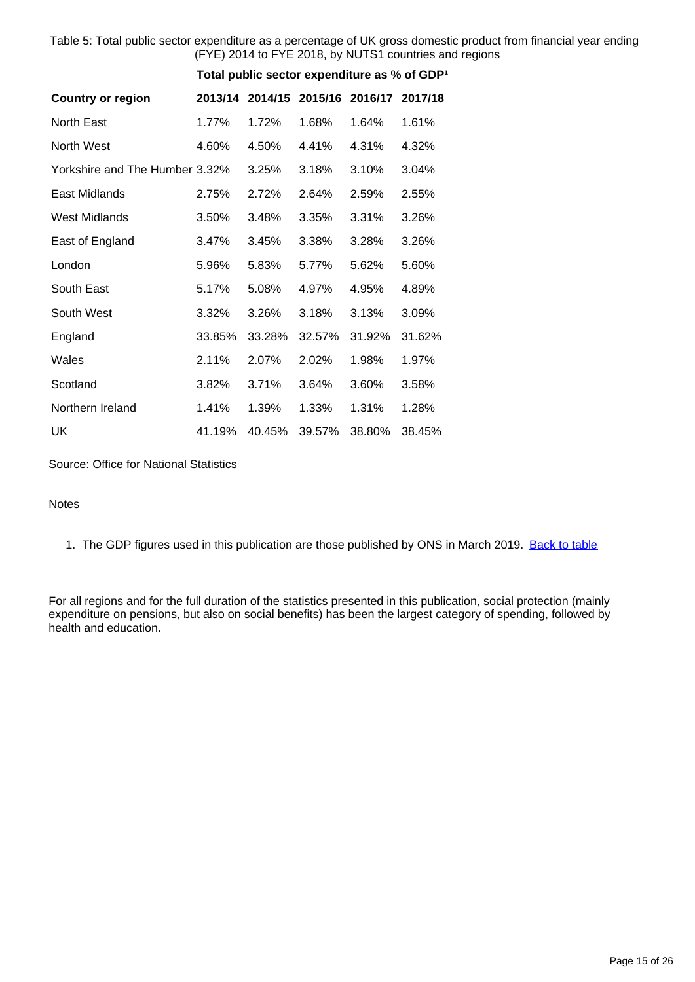Table 5: Total public sector expenditure as a percentage of UK gross domestic product from financial year ending (FYE) 2014 to FYE 2018, by NUTS1 countries and regions

|                                |         |        | Total public sector expenditure as % of GDP <sup>1</sup> |         |         |
|--------------------------------|---------|--------|----------------------------------------------------------|---------|---------|
| <b>Country or region</b>       | 2013/14 |        | 2014/15 2015/16                                          | 2016/17 | 2017/18 |
| North East                     | 1.77%   | 1.72%  | 1.68%                                                    | 1.64%   | 1.61%   |
| North West                     | 4.60%   | 4.50%  | 4.41%                                                    | 4.31%   | 4.32%   |
| Yorkshire and The Humber 3.32% |         | 3.25%  | 3.18%                                                    | 3.10%   | 3.04%   |
| East Midlands                  | 2.75%   | 2.72%  | 2.64%                                                    | 2.59%   | 2.55%   |
| <b>West Midlands</b>           | 3.50%   | 3.48%  | 3.35%                                                    | 3.31%   | 3.26%   |
| East of England                | 3.47%   | 3.45%  | 3.38%                                                    | 3.28%   | 3.26%   |
| London                         | 5.96%   | 5.83%  | 5.77%                                                    | 5.62%   | 5.60%   |
| South East                     | 5.17%   | 5.08%  | 4.97%                                                    | 4.95%   | 4.89%   |
| South West                     | 3.32%   | 3.26%  | 3.18%                                                    | 3.13%   | 3.09%   |
| England                        | 33.85%  | 33.28% | 32.57%                                                   | 31.92%  | 31.62%  |
| Wales                          | 2.11%   | 2.07%  | 2.02%                                                    | 1.98%   | 1.97%   |
| Scotland                       | 3.82%   | 3.71%  | 3.64%                                                    | 3.60%   | 3.58%   |
| Northern Ireland               | 1.41%   | 1.39%  | 1.33%                                                    | 1.31%   | 1.28%   |
| UK                             | 41.19%  | 40.45% | 39.57%                                                   | 38.80%  | 38.45%  |

Source: Office for National Statistics

#### Notes

1. The GDP figures used in this publication are those published by ONS in March 2019. [Back to table](#page-0-0)

For all regions and for the full duration of the statistics presented in this publication, social protection (mainly expenditure on pensions, but also on social benefits) has been the largest category of spending, followed by health and education.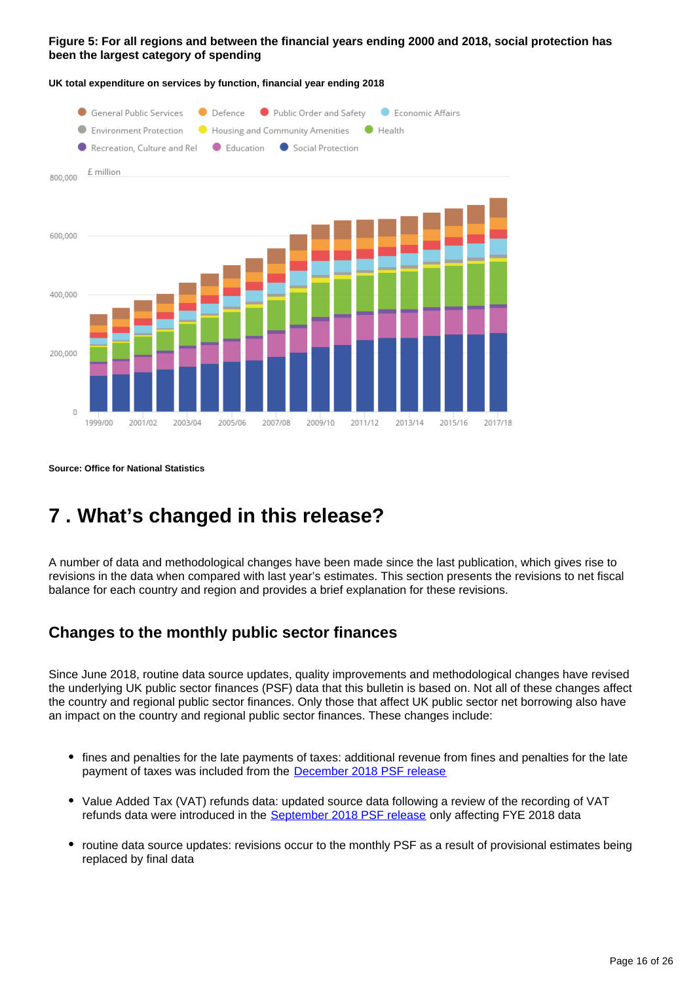#### **Figure 5: For all regions and between the financial years ending 2000 and 2018, social protection has been the largest category of spending**



**UK total expenditure on services by function, financial year ending 2018**

**Source: Office for National Statistics**

## <span id="page-15-0"></span>**7 . What's changed in this release?**

A number of data and methodological changes have been made since the last publication, which gives rise to revisions in the data when compared with last year's estimates. This section presents the revisions to net fiscal balance for each country and region and provides a brief explanation for these revisions.

## **Changes to the monthly public sector finances**

Since June 2018, routine data source updates, quality improvements and methodological changes have revised the underlying UK public sector finances (PSF) data that this bulletin is based on. Not all of these changes affect the country and regional public sector finances. Only those that affect UK public sector net borrowing also have an impact on the country and regional public sector finances. These changes include:

- fines and penalties for the late payments of taxes: additional revenue from fines and penalties for the late payment of taxes was included from the **[December 2018 PSF release](https://www.ons.gov.uk/economy/governmentpublicsectorandtaxes/publicsectorfinance/bulletins/publicsectorfinances/december2018)**
- Value Added Tax (VAT) refunds data: updated source data following a review of the recording of VAT refunds data were introduced in the [September 2018 PSF release](https://www.ons.gov.uk/economy/governmentpublicsectorandtaxes/publicsectorfinance/bulletins/publicsectorfinances/september2018) only affecting FYE 2018 data
- routine data source updates: revisions occur to the monthly PSF as a result of provisional estimates being replaced by final data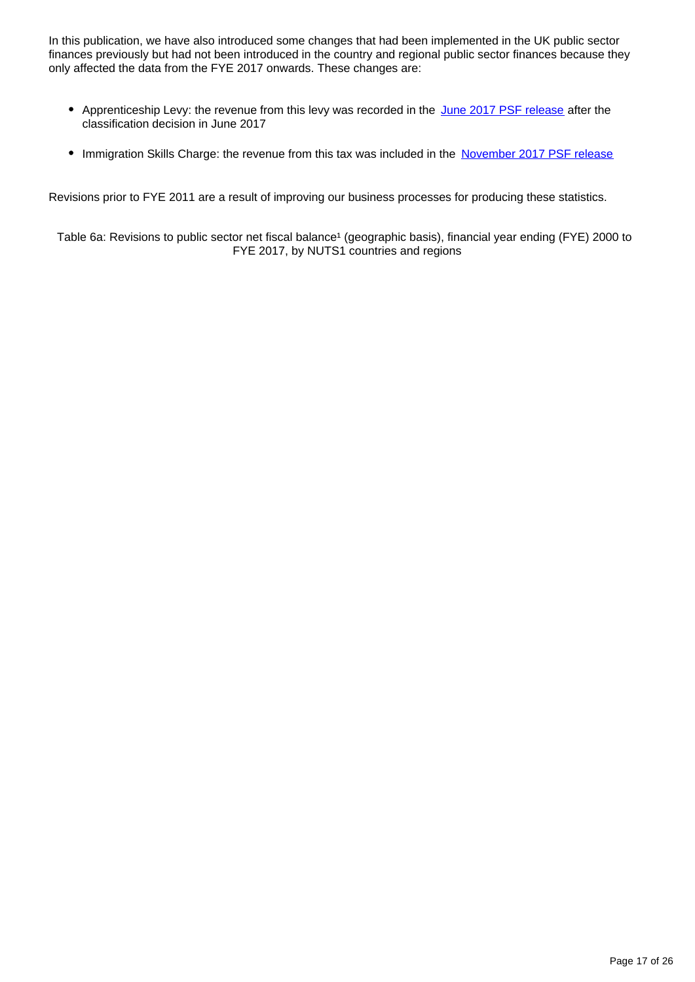In this publication, we have also introduced some changes that had been implemented in the UK public sector finances previously but had not been introduced in the country and regional public sector finances because they only affected the data from the FYE 2017 onwards. These changes are:

- Apprenticeship Levy: the revenue from this levy was recorded in the [June 2017 PSF release](https://www.ons.gov.uk/economy/governmentpublicsectorandtaxes/publicsectorfinance/bulletins/publicsectorfinances/june2017) after the classification decision in June 2017
- Immigration Skills Charge: the revenue from this tax was included in the [November 2017 PSF release](https://www.ons.gov.uk/economy/governmentpublicsectorandtaxes/publicsectorfinance/bulletins/publicsectorfinances/november2017)

Revisions prior to FYE 2011 are a result of improving our business processes for producing these statistics.

Table 6a: Revisions to public sector net fiscal balance<sup>1</sup> (geographic basis), financial year ending (FYE) 2000 to FYE 2017, by NUTS1 countries and regions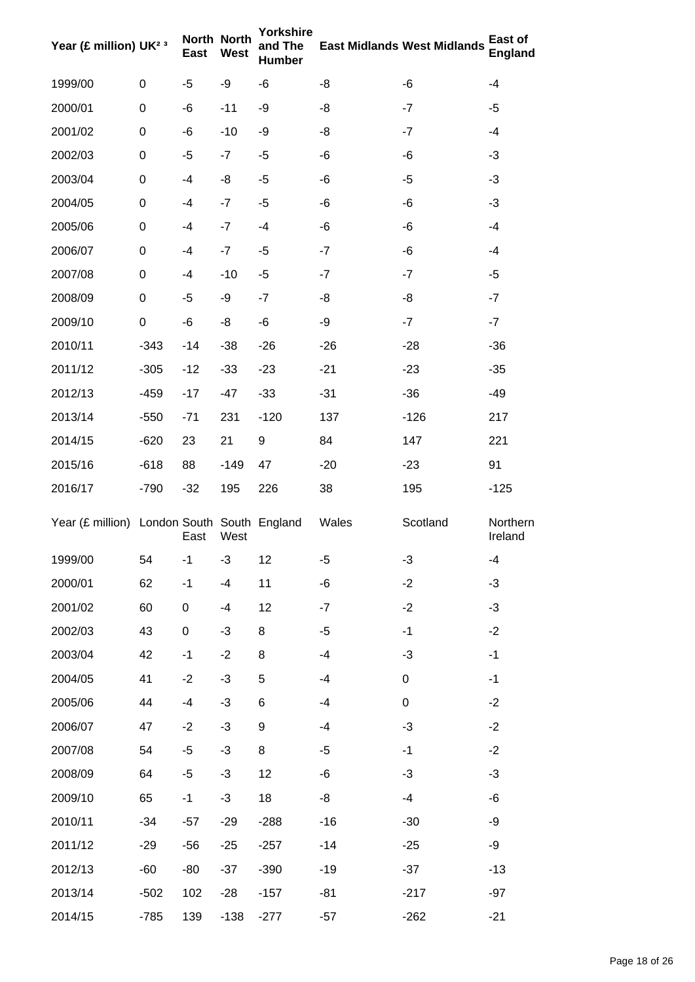| Year (£ million) UK <sup>2 3</sup>          |                  | <b>East</b> | North North<br>West | Yorkshire<br>and The<br><b>Humber</b> |       | <b>East Midlands West Midlands</b> | East of<br><b>England</b> |
|---------------------------------------------|------------------|-------------|---------------------|---------------------------------------|-------|------------------------------------|---------------------------|
| 1999/00                                     | 0                | -5          | -9                  | -6                                    | -8    | -6                                 | -4                        |
| 2000/01                                     | 0                | -6          | $-11$               | -9                                    | -8    | $-7$                               | -5                        |
| 2001/02                                     | 0                | -6          | $-10$               | -9                                    | -8    | $-7$                               | $-4$                      |
| 2002/03                                     | 0                | $-5$        | $-7$                | $-5$                                  | -6    | -6                                 | $-3$                      |
| 2003/04                                     | 0                | -4          | -8                  | $-5$                                  | -6    | $-5$                               | $-3$                      |
| 2004/05                                     | 0                | -4          | $-7$                | -5                                    | -6    | -6                                 | $-3$                      |
| 2005/06                                     | 0                | -4          | $-7$                | $-4$                                  | -6    | -6                                 | -4                        |
| 2006/07                                     | 0                | -4          | $-7$                | $-5$                                  | $-7$  | -6                                 | -4                        |
| 2007/08                                     | 0                | -4          | $-10$               | $-5$                                  | $-7$  | -7                                 | $-5$                      |
| 2008/09                                     | 0                | -5          | -9                  | $-7$                                  | -8    | -8                                 | -7                        |
| 2009/10                                     | $\boldsymbol{0}$ | -6          | -8                  | -6                                    | -9    | $-7$                               | $-7$                      |
| 2010/11                                     | $-343$           | $-14$       | $-38$               | $-26$                                 | $-26$ | $-28$                              | $-36$                     |
| 2011/12                                     | $-305$           | $-12$       | $-33$               | $-23$                                 | $-21$ | $-23$                              | $-35$                     |
| 2012/13                                     | $-459$           | $-17$       | $-47$               | $-33$                                 | $-31$ | $-36$                              | -49                       |
| 2013/14                                     | $-550$           | $-71$       | 231                 | $-120$                                | 137   | $-126$                             | 217                       |
| 2014/15                                     | $-620$           | 23          | 21                  | 9                                     | 84    | 147                                | 221                       |
| 2015/16                                     | $-618$           | 88          | $-149$              | 47                                    | $-20$ | $-23$                              | 91                        |
| 2016/17                                     | $-790$           | $-32$       | 195                 | 226                                   | 38    | 195                                | $-125$                    |
| Year (£ million) London South South England |                  | East        | West                |                                       | Wales | Scotland                           | Northern<br>Ireland       |
| 1999/00                                     | 54               | $-1$        | $-3$                | 12                                    | -5    | $-3$                               | -4                        |
| 2000/01                                     | 62               | $-1$        | $-4$                | 11                                    | -6    | $-2$                               | $-3$                      |
| 2001/02                                     | 60               | 0           | $-4$                | 12                                    | $-7$  | $-2$                               | $-3$                      |
| 2002/03                                     | 43               | 0           | -3                  | 8                                     | -5    | $-1$                               | $-2$                      |
| 2003/04                                     | 42               | $-1$        | $-2$                | 8                                     | $-4$  | $-3$                               | $-1$                      |
| 2004/05                                     | 41               | $-2$        | -3                  | 5                                     | $-4$  | $\pmb{0}$                          | $-1$                      |
| 2005/06                                     | 44               | $-4$        | $-3$                | 6                                     | -4    | $\pmb{0}$                          | $-2$                      |
| 2006/07                                     | 47               | $-2$        | $-3$                | 9                                     | $-4$  | $-3$                               | $-2$                      |
| 2007/08                                     | 54               | -5          | $-3$                | 8                                     | -5    | $-1$                               | $-2$                      |
| 2008/09                                     | 64               | -5          | $-3$                | 12                                    | $-6$  | $-3$                               | $-3$                      |
| 2009/10                                     | 65               | $-1$        | $-3$                | 18                                    | -8    | $-4$                               | -6                        |
| 2010/11                                     | $-34$            | $-57$       | $-29$               | $-288$                                | $-16$ | $-30$                              | -9                        |
| 2011/12                                     | $-29$            | $-56$       | $-25$               | $-257$                                | $-14$ | $-25$                              | -9                        |
| 2012/13                                     | $-60$            | -80         | $-37$               | $-390$                                | $-19$ | $-37$                              | $-13$                     |
| 2013/14                                     | $-502$           | 102         | $-28$               | $-157$                                | $-81$ | $-217$                             | $-97$                     |
| 2014/15                                     | $-785$           | 139         | $-138$              | $-277$                                | $-57$ | $-262$                             | $-21$                     |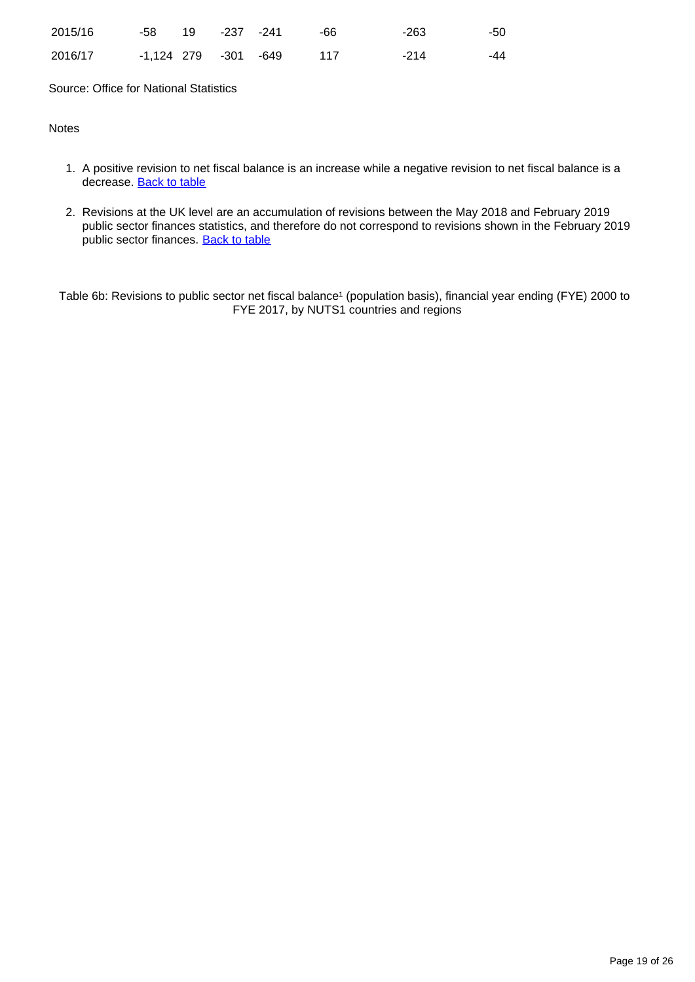| 2015/16 | -58 19 -237 -241     |  | -66   | -263 | -50 |
|---------|----------------------|--|-------|------|-----|
| 2016/17 | -1,124 279 -301 -649 |  | - 117 | -214 | -44 |

Source: Office for National Statistics

#### **Notes**

- 1. A positive revision to net fiscal balance is an increase while a negative revision to net fiscal balance is a decrease. **[Back to table](#page-0-0)**
- 2. Revisions at the UK level are an accumulation of revisions between the May 2018 and February 2019 public sector finances statistics, and therefore do not correspond to revisions shown in the February 2019 public sector finances. [Back to table](#page-0-0)

Table 6b: Revisions to public sector net fiscal balance<sup>1</sup> (population basis), financial year ending (FYE) 2000 to FYE 2017, by NUTS1 countries and regions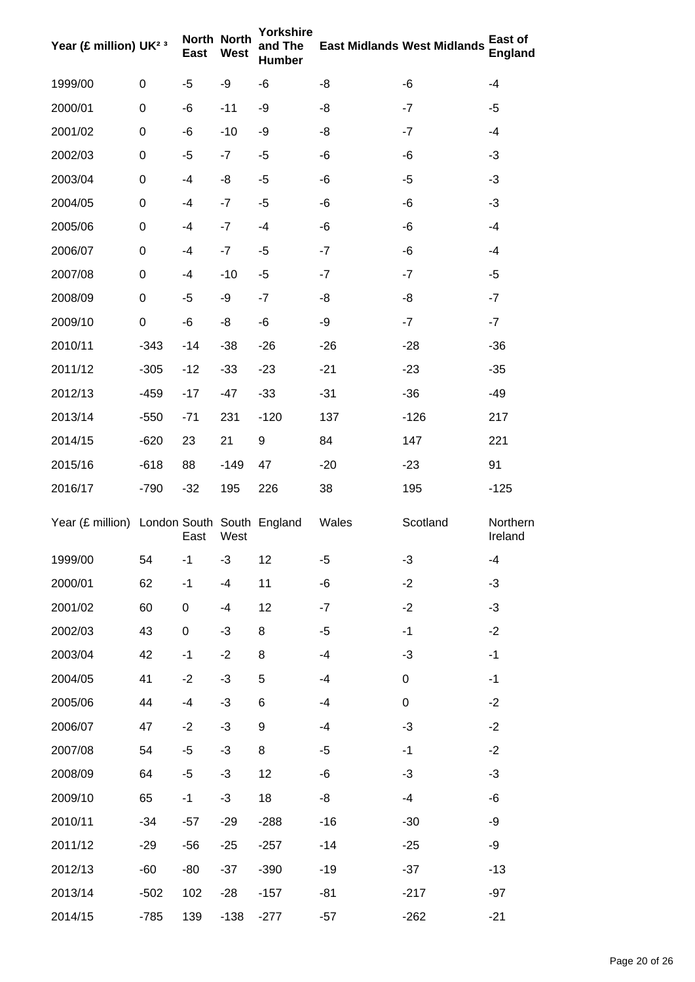| Year (£ million) UK <sup>2 3</sup>          |                  | <b>East</b> | North North<br><b>West</b> | Yorkshire<br>and The<br><b>Humber</b> |       | <b>East Midlands West Midlands</b> | East of<br><b>England</b> |
|---------------------------------------------|------------------|-------------|----------------------------|---------------------------------------|-------|------------------------------------|---------------------------|
| 1999/00                                     | 0                | -5          | -9                         | -6                                    | -8    | -6                                 | -4                        |
| 2000/01                                     | 0                | -6          | $-11$                      | -9                                    | -8    | $-7$                               | -5                        |
| 2001/02                                     | 0                | -6          | $-10$                      | -9                                    | -8    | $-7$                               | $-4$                      |
| 2002/03                                     | 0                | -5          | $-7$                       | $-5$                                  | -6    | -6                                 | $-3$                      |
| 2003/04                                     | 0                | -4          | -8                         | $-5$                                  | -6    | $-5$                               | $-3$                      |
| 2004/05                                     | 0                | -4          | $-7$                       | -5                                    | -6    | -6                                 | $-3$                      |
| 2005/06                                     | 0                | -4          | $-7$                       | $-4$                                  | -6    | -6                                 | $-4$                      |
| 2006/07                                     | 0                | -4          | $-7$                       | $-5$                                  | $-7$  | -6                                 | -4                        |
| 2007/08                                     | 0                | -4          | $-10$                      | $-5$                                  | $-7$  | $-7$                               | $-5$                      |
| 2008/09                                     | 0                | -5          | -9                         | $-7$                                  | -8    | -8                                 | -7                        |
| 2009/10                                     | $\boldsymbol{0}$ | -6          | -8                         | -6                                    | -9    | $-7$                               | $-7$                      |
| 2010/11                                     | $-343$           | $-14$       | $-38$                      | $-26$                                 | $-26$ | $-28$                              | $-36$                     |
| 2011/12                                     | $-305$           | $-12$       | $-33$                      | $-23$                                 | $-21$ | $-23$                              | $-35$                     |
| 2012/13                                     | $-459$           | $-17$       | $-47$                      | $-33$                                 | $-31$ | $-36$                              | -49                       |
| 2013/14                                     | $-550$           | $-71$       | 231                        | $-120$                                | 137   | $-126$                             | 217                       |
| 2014/15                                     | $-620$           | 23          | 21                         | 9                                     | 84    | 147                                | 221                       |
| 2015/16                                     | $-618$           | 88          | $-149$                     | 47                                    | $-20$ | $-23$                              | 91                        |
| 2016/17                                     | $-790$           | $-32$       | 195                        | 226                                   | 38    | 195                                | $-125$                    |
| Year (£ million) London South South England |                  | East        | West                       |                                       | Wales | Scotland                           | Northern<br>Ireland       |
| 1999/00                                     | 54               | $-1$        | -3                         | 12                                    | -5    | $-3$                               | -4                        |
| 2000/01                                     | 62               | $-1$        | -4                         | 11                                    | -6    | $-2$                               | $-3$                      |
| 2001/02                                     | 60               | 0           | $-4$                       | 12                                    | $-7$  | $-2$                               | $-3$                      |
| 2002/03                                     | 43               | 0           | -3                         | 8                                     | -5    | $-1$                               | $-2$                      |
| 2003/04                                     | 42               | $-1$        | $-2$                       | 8                                     | $-4$  | $-3$                               | $-1$                      |
| 2004/05                                     | 41               | $-2$        | -3                         | 5                                     | -4    | $\pmb{0}$                          | $-1$                      |
| 2005/06                                     | 44               | $-4$        | $-3$                       | 6                                     | -4    | $\mathbf 0$                        | $-2$                      |
| 2006/07                                     | 47               | $-2$        | $-3$                       | $\boldsymbol{9}$                      | $-4$  | $-3$                               | $-2$                      |
| 2007/08                                     | 54               | -5          | $-3$                       | 8                                     | -5    | $-1$                               | $-2$                      |
| 2008/09                                     | 64               | -5          | $-3$                       | 12                                    | -6    | $-3$                               | $-3$                      |
| 2009/10                                     | 65               | $-1$        | $-3$                       | 18                                    | -8    | $-4$                               | -6                        |
| 2010/11                                     | $-34$            | $-57$       | $-29$                      | $-288$                                | $-16$ | $-30$                              | -9                        |
| 2011/12                                     | $-29$            | $-56$       | $-25$                      | $-257$                                | $-14$ | $-25$                              | -9                        |
| 2012/13                                     | $-60$            | -80         | $-37$                      | $-390$                                | $-19$ | $-37$                              | $-13$                     |
| 2013/14                                     | $-502$           | 102         | $-28$                      | $-157$                                | $-81$ | $-217$                             | $-97$                     |
| 2014/15                                     | $-785$           | 139         | $-138$                     | $-277$                                | $-57$ | $-262$                             | $-21$                     |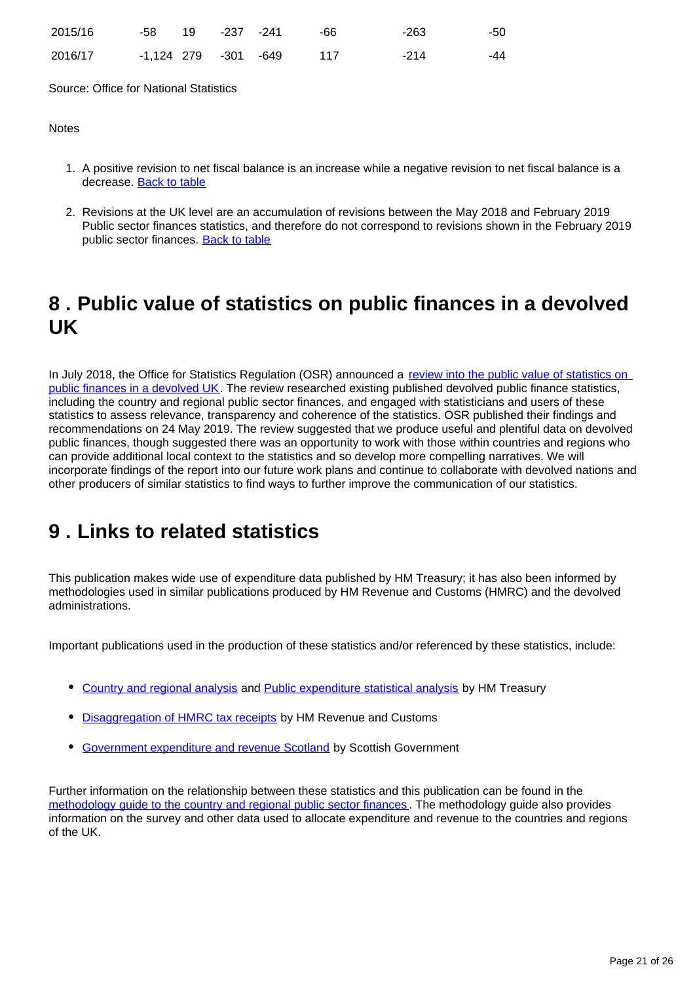| 2015/16 | -58 19 -237 -241     |  | -66   | -263 | -50 |
|---------|----------------------|--|-------|------|-----|
| 2016/17 | -1.124 279 -301 -649 |  | - 117 | -214 | -44 |

Source: Office for National Statistics

#### **Notes**

- 1. A positive revision to net fiscal balance is an increase while a negative revision to net fiscal balance is a decrease. [Back to table](#page-0-0)
- 2. Revisions at the UK level are an accumulation of revisions between the May 2018 and February 2019 Public sector finances statistics, and therefore do not correspond to revisions shown in the February 2019 public sector finances. [Back to table](#page-0-0)

## <span id="page-20-0"></span>**8 . Public value of statistics on public finances in a devolved UK**

In July 2018, the Office for Statistics Regulation (OSR) announced a [review into the public value of statistics on](https://www.statisticsauthority.gov.uk/publication/the-public-value-of-devolved-public-finance-statistics/)  [public finances in a devolved UK](https://www.statisticsauthority.gov.uk/publication/the-public-value-of-devolved-public-finance-statistics/). The review researched existing published devolved public finance statistics, including the country and regional public sector finances, and engaged with statisticians and users of these statistics to assess relevance, transparency and coherence of the statistics. OSR published their findings and recommendations on 24 May 2019. The review suggested that we produce useful and plentiful data on devolved public finances, though suggested there was an opportunity to work with those within countries and regions who can provide additional local context to the statistics and so develop more compelling narratives. We will incorporate findings of the report into our future work plans and continue to collaborate with devolved nations and other producers of similar statistics to find ways to further improve the communication of our statistics.

## <span id="page-20-1"></span>**9 . Links to related statistics**

This publication makes wide use of expenditure data published by HM Treasury; it has also been informed by methodologies used in similar publications produced by HM Revenue and Customs (HMRC) and the devolved administrations.

Important publications used in the production of these statistics and/or referenced by these statistics, include:

- [Country and regional analysis](https://www.gov.uk/government/collections/country-and-regional-analysis) and [Public expenditure statistical analysis](https://www.gov.uk/government/collections/public-expenditure-statistical-analyses-pesa) by HM Treasury
- [Disaggregation of HMRC tax receipts](https://www.gov.uk/government/statistics/disaggregation-of-hmrc-tax-receipts) by HM Revenue and Customs
- [Government expenditure and revenue Scotland](http://www.gov.scot/gers) by Scottish Government

Further information on the relationship between these statistics and this publication can be found in the [methodology guide to the country and regional public sector finances](https://www.ons.gov.uk/economy/governmentpublicsectorandtaxes/publicsectorfinance/methodologies/countryandregionalpublicsectorfinancesmethodologyguide) . The methodology guide also provides information on the survey and other data used to allocate expenditure and revenue to the countries and regions of the UK.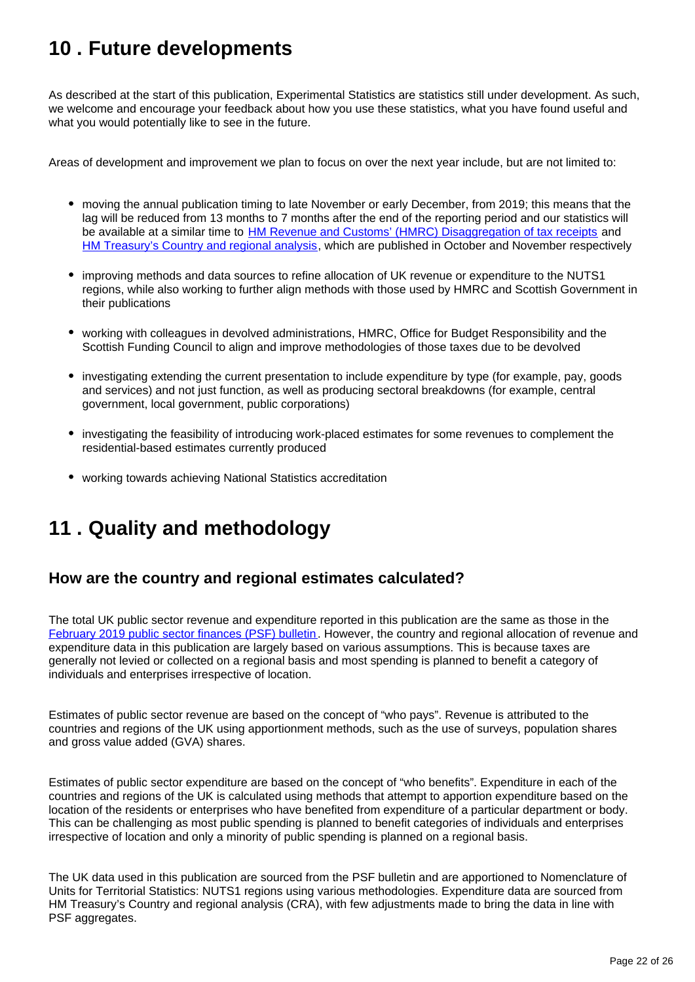## <span id="page-21-0"></span>**10 . Future developments**

As described at the start of this publication, Experimental Statistics are statistics still under development. As such, we welcome and encourage your feedback about how you use these statistics, what you have found useful and what you would potentially like to see in the future.

Areas of development and improvement we plan to focus on over the next year include, but are not limited to:

- moving the annual publication timing to late November or early December, from 2019; this means that the lag will be reduced from 13 months to 7 months after the end of the reporting period and our statistics will be available at a similar time to [HM Revenue and Customs' \(HMRC\) Disaggregation of tax receipts](https://www.gov.uk/government/statistics/disaggregation-of-hmrc-tax-receipts) and [HM Treasury's Country and regional analysis](https://www.gov.uk/government/collections/country-and-regional-analysis), which are published in October and November respectively
- improving methods and data sources to refine allocation of UK revenue or expenditure to the NUTS1 regions, while also working to further align methods with those used by HMRC and Scottish Government in their publications
- working with colleagues in devolved administrations, HMRC, Office for Budget Responsibility and the Scottish Funding Council to align and improve methodologies of those taxes due to be devolved
- investigating extending the current presentation to include expenditure by type (for example, pay, goods and services) and not just function, as well as producing sectoral breakdowns (for example, central government, local government, public corporations)
- investigating the feasibility of introducing work-placed estimates for some revenues to complement the residential-based estimates currently produced
- working towards achieving National Statistics accreditation

## <span id="page-21-1"></span>**11 . Quality and methodology**

### **How are the country and regional estimates calculated?**

The total UK public sector revenue and expenditure reported in this publication are the same as those in the [February 2019 public sector finances \(PSF\) bulletin](https://www.ons.gov.uk/economy/governmentpublicsectorandtaxes/publicsectorfinance/bulletins/publicsectorfinances/february2019). However, the country and regional allocation of revenue and expenditure data in this publication are largely based on various assumptions. This is because taxes are generally not levied or collected on a regional basis and most spending is planned to benefit a category of individuals and enterprises irrespective of location.

Estimates of public sector revenue are based on the concept of "who pays". Revenue is attributed to the countries and regions of the UK using apportionment methods, such as the use of surveys, population shares and gross value added (GVA) shares.

Estimates of public sector expenditure are based on the concept of "who benefits". Expenditure in each of the countries and regions of the UK is calculated using methods that attempt to apportion expenditure based on the location of the residents or enterprises who have benefited from expenditure of a particular department or body. This can be challenging as most public spending is planned to benefit categories of individuals and enterprises irrespective of location and only a minority of public spending is planned on a regional basis.

The UK data used in this publication are sourced from the PSF bulletin and are apportioned to Nomenclature of Units for Territorial Statistics: NUTS1 regions using various methodologies. Expenditure data are sourced from HM Treasury's Country and regional analysis (CRA), with few adjustments made to bring the data in line with PSF aggregates.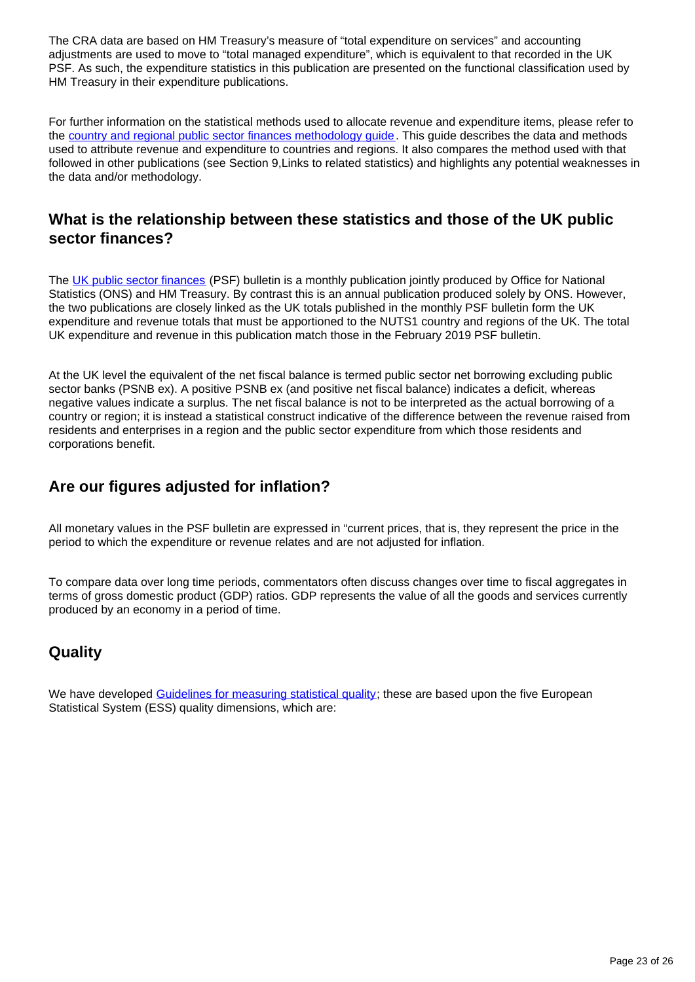The CRA data are based on HM Treasury's measure of "total expenditure on services" and accounting adjustments are used to move to "total managed expenditure", which is equivalent to that recorded in the UK PSF. As such, the expenditure statistics in this publication are presented on the functional classification used by HM Treasury in their expenditure publications.

For further information on the statistical methods used to allocate revenue and expenditure items, please refer to the [country and regional public sector finances methodology guide](https://www.ons.gov.uk/economy/governmentpublicsectorandtaxes/publicsectorfinance/methodologies/countryandregionalpublicsectorfinancesmethodologyguide). This guide describes the data and methods used to attribute revenue and expenditure to countries and regions. It also compares the method used with that followed in other publications (see Section 9,Links to related statistics) and highlights any potential weaknesses in the data and/or methodology.

## **What is the relationship between these statistics and those of the UK public sector finances?**

The [UK public sector finances](https://www.ons.gov.uk/economy/governmentpublicsectorandtaxes/publicsectorfinance/bulletins/publicsectorfinances/previousReleases) (PSF) bulletin is a monthly publication jointly produced by Office for National Statistics (ONS) and HM Treasury. By contrast this is an annual publication produced solely by ONS. However, the two publications are closely linked as the UK totals published in the monthly PSF bulletin form the UK expenditure and revenue totals that must be apportioned to the NUTS1 country and regions of the UK. The total UK expenditure and revenue in this publication match those in the February 2019 PSF bulletin.

At the UK level the equivalent of the net fiscal balance is termed public sector net borrowing excluding public sector banks (PSNB ex). A positive PSNB ex (and positive net fiscal balance) indicates a deficit, whereas negative values indicate a surplus. The net fiscal balance is not to be interpreted as the actual borrowing of a country or region; it is instead a statistical construct indicative of the difference between the revenue raised from residents and enterprises in a region and the public sector expenditure from which those residents and corporations benefit.

## **Are our figures adjusted for inflation?**

All monetary values in the PSF bulletin are expressed in "current prices, that is, they represent the price in the period to which the expenditure or revenue relates and are not adjusted for inflation.

To compare data over long time periods, commentators often discuss changes over time to fiscal aggregates in terms of gross domestic product (GDP) ratios. GDP represents the value of all the goods and services currently produced by an economy in a period of time.

## **Quality**

We have developed [Guidelines for measuring statistical quality;](https://www.ons.gov.uk/methodology/methodologytopicsandstatisticalconcepts/qualityinofficialstatistics/qualitydefined) these are based upon the five European Statistical System (ESS) quality dimensions, which are: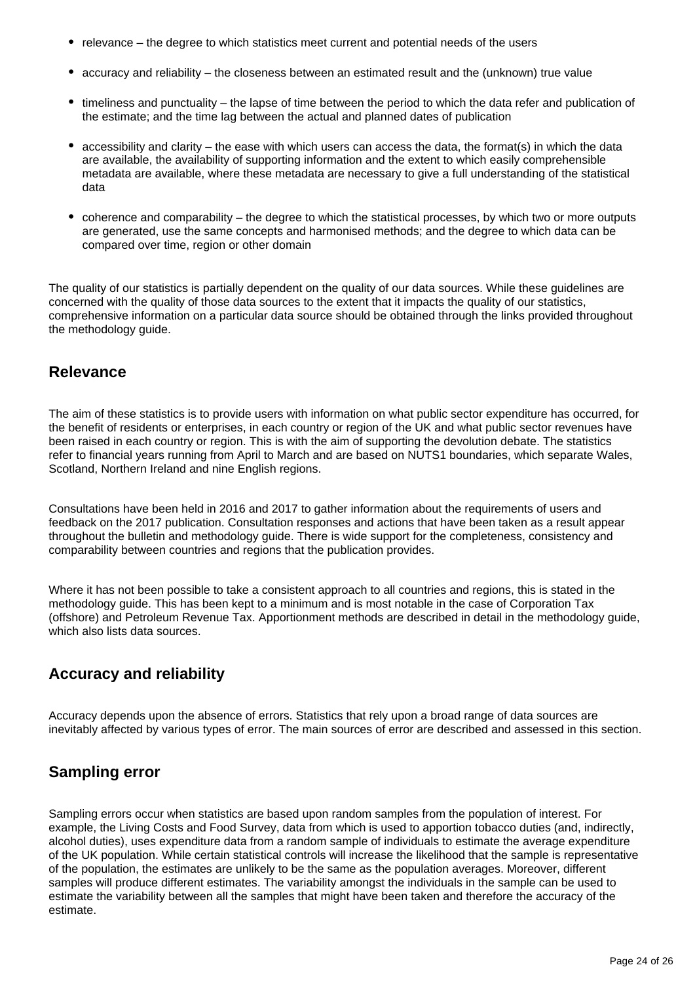- relevance the degree to which statistics meet current and potential needs of the users
- accuracy and reliability the closeness between an estimated result and the (unknown) true value
- timeliness and punctuality the lapse of time between the period to which the data refer and publication of the estimate; and the time lag between the actual and planned dates of publication
- accessibility and clarity the ease with which users can access the data, the format(s) in which the data are available, the availability of supporting information and the extent to which easily comprehensible metadata are available, where these metadata are necessary to give a full understanding of the statistical data
- coherence and comparability the degree to which the statistical processes, by which two or more outputs are generated, use the same concepts and harmonised methods; and the degree to which data can be compared over time, region or other domain

The quality of our statistics is partially dependent on the quality of our data sources. While these guidelines are concerned with the quality of those data sources to the extent that it impacts the quality of our statistics, comprehensive information on a particular data source should be obtained through the links provided throughout the methodology guide.

### **Relevance**

The aim of these statistics is to provide users with information on what public sector expenditure has occurred, for the benefit of residents or enterprises, in each country or region of the UK and what public sector revenues have been raised in each country or region. This is with the aim of supporting the devolution debate. The statistics refer to financial years running from April to March and are based on NUTS1 boundaries, which separate Wales, Scotland, Northern Ireland and nine English regions.

Consultations have been held in 2016 and 2017 to gather information about the requirements of users and feedback on the 2017 publication. Consultation responses and actions that have been taken as a result appear throughout the bulletin and methodology guide. There is wide support for the completeness, consistency and comparability between countries and regions that the publication provides.

Where it has not been possible to take a consistent approach to all countries and regions, this is stated in the methodology guide. This has been kept to a minimum and is most notable in the case of Corporation Tax (offshore) and Petroleum Revenue Tax. Apportionment methods are described in detail in the methodology guide, which also lists data sources.

## **Accuracy and reliability**

Accuracy depends upon the absence of errors. Statistics that rely upon a broad range of data sources are inevitably affected by various types of error. The main sources of error are described and assessed in this section.

## **Sampling error**

Sampling errors occur when statistics are based upon random samples from the population of interest. For example, the Living Costs and Food Survey, data from which is used to apportion tobacco duties (and, indirectly, alcohol duties), uses expenditure data from a random sample of individuals to estimate the average expenditure of the UK population. While certain statistical controls will increase the likelihood that the sample is representative of the population, the estimates are unlikely to be the same as the population averages. Moreover, different samples will produce different estimates. The variability amongst the individuals in the sample can be used to estimate the variability between all the samples that might have been taken and therefore the accuracy of the estimate.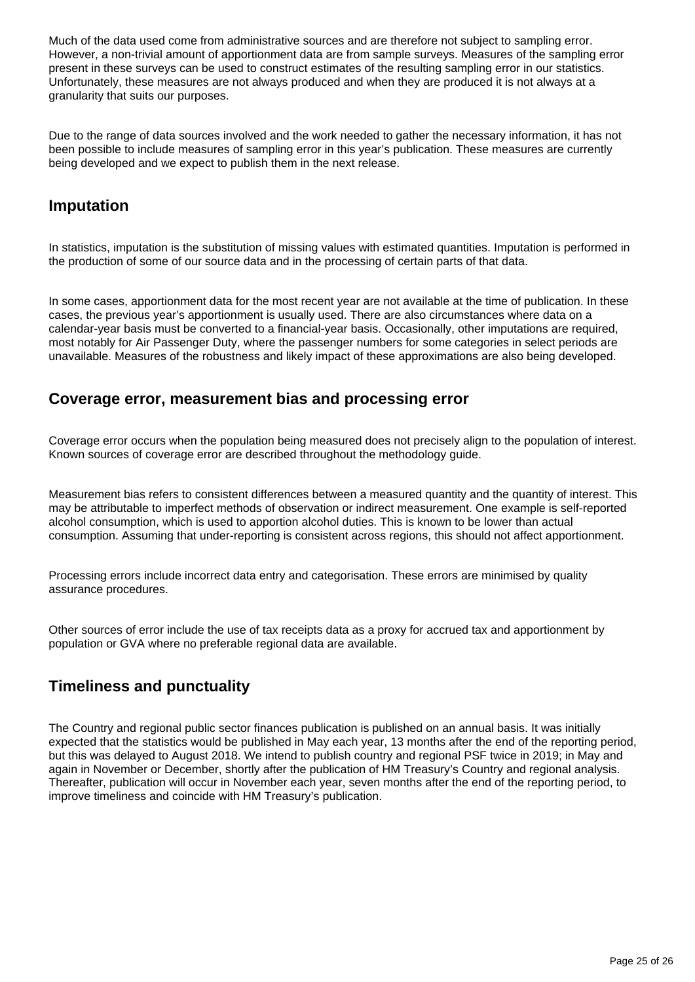Much of the data used come from administrative sources and are therefore not subject to sampling error. However, a non-trivial amount of apportionment data are from sample surveys. Measures of the sampling error present in these surveys can be used to construct estimates of the resulting sampling error in our statistics. Unfortunately, these measures are not always produced and when they are produced it is not always at a granularity that suits our purposes.

Due to the range of data sources involved and the work needed to gather the necessary information, it has not been possible to include measures of sampling error in this year's publication. These measures are currently being developed and we expect to publish them in the next release.

### **Imputation**

In statistics, imputation is the substitution of missing values with estimated quantities. Imputation is performed in the production of some of our source data and in the processing of certain parts of that data.

In some cases, apportionment data for the most recent year are not available at the time of publication. In these cases, the previous year's apportionment is usually used. There are also circumstances where data on a calendar-year basis must be converted to a financial-year basis. Occasionally, other imputations are required, most notably for Air Passenger Duty, where the passenger numbers for some categories in select periods are unavailable. Measures of the robustness and likely impact of these approximations are also being developed.

### **Coverage error, measurement bias and processing error**

Coverage error occurs when the population being measured does not precisely align to the population of interest. Known sources of coverage error are described throughout the methodology guide.

Measurement bias refers to consistent differences between a measured quantity and the quantity of interest. This may be attributable to imperfect methods of observation or indirect measurement. One example is self-reported alcohol consumption, which is used to apportion alcohol duties. This is known to be lower than actual consumption. Assuming that under-reporting is consistent across regions, this should not affect apportionment.

Processing errors include incorrect data entry and categorisation. These errors are minimised by quality assurance procedures.

Other sources of error include the use of tax receipts data as a proxy for accrued tax and apportionment by population or GVA where no preferable regional data are available.

## **Timeliness and punctuality**

The Country and regional public sector finances publication is published on an annual basis. It was initially expected that the statistics would be published in May each year, 13 months after the end of the reporting period, but this was delayed to August 2018. We intend to publish country and regional PSF twice in 2019; in May and again in November or December, shortly after the publication of HM Treasury's Country and regional analysis. Thereafter, publication will occur in November each year, seven months after the end of the reporting period, to improve timeliness and coincide with HM Treasury's publication.